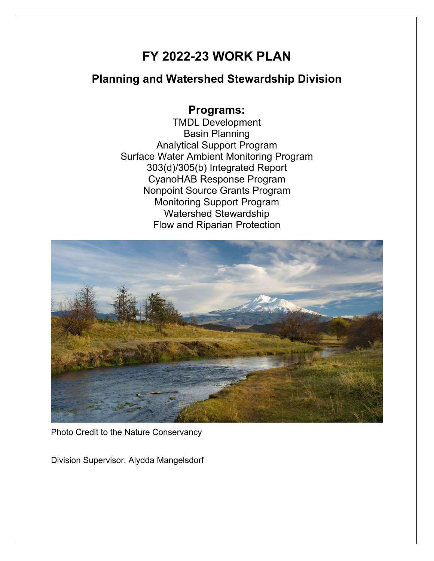# **FY 2022-23 WORK PLAN**

## <span id="page-0-0"></span>**Planning and Watershed Stewardship Division**

### **Programs:**

TMDL Development Basin Planning Analytical Support Program Surface Water Ambient Monitoring Program 303(d)/305(b) Integrated Report CyanoHAB Response Program Nonpoint Source Grants Program Monitoring Support Program Watershed Stewardship Flow and Riparian Protection



Photo Credit to the Nature Conservancy

Division Supervisor: Alydda Mangelsdorf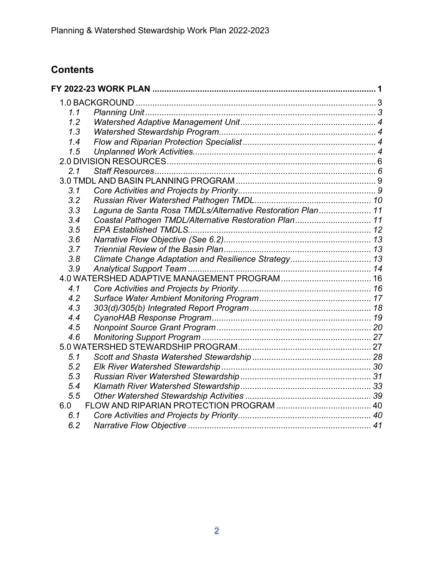## **Contents**

| 1.1 |                                                            |  |
|-----|------------------------------------------------------------|--|
| 1.2 |                                                            |  |
| 1.3 |                                                            |  |
| 1.4 |                                                            |  |
| 1.5 |                                                            |  |
|     |                                                            |  |
| 2.1 |                                                            |  |
|     |                                                            |  |
| 3.1 |                                                            |  |
| 3.2 |                                                            |  |
| 3.3 | Laguna de Santa Rosa TMDLs/Alternative Restoration Plan 11 |  |
| 3.4 | Coastal Pathogen TMDL/Alternative Restoration Plan 11      |  |
| 3.5 |                                                            |  |
| 3.6 |                                                            |  |
| 3.7 |                                                            |  |
| 3.8 | Climate Change Adaptation and Resilience Strategy 13       |  |
| 3.9 |                                                            |  |
|     |                                                            |  |
| 4.1 |                                                            |  |
| 4.2 |                                                            |  |
| 4.3 |                                                            |  |
| 4.4 |                                                            |  |
| 4.5 |                                                            |  |
| 4.6 |                                                            |  |
|     |                                                            |  |
| 5.1 |                                                            |  |
| 5.2 |                                                            |  |
| 5.3 |                                                            |  |
| 5.4 |                                                            |  |
| 5.5 |                                                            |  |
| 6.0 |                                                            |  |
| 6.1 |                                                            |  |
| 6.2 |                                                            |  |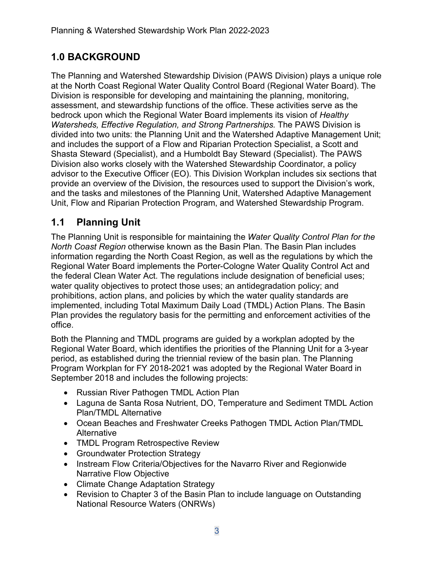## <span id="page-2-0"></span>**1.0 BACKGROUND**

The Planning and Watershed Stewardship Division (PAWS Division) plays a unique role at the North Coast Regional Water Quality Control Board (Regional Water Board). The Division is responsible for developing and maintaining the planning, monitoring, assessment, and stewardship functions of the office. These activities serve as the bedrock upon which the Regional Water Board implements its vision of *Healthy Watersheds, Effective Regulation, and Strong Partnerships.* The PAWS Division is divided into two units: the Planning Unit and the Watershed Adaptive Management Unit; and includes the support of a Flow and Riparian Protection Specialist, a Scott and Shasta Steward (Specialist), and a Humboldt Bay Steward (Specialist). The PAWS Division also works closely with the Watershed Stewardship Coordinator, a policy advisor to the Executive Officer (EO). This Division Workplan includes six sections that provide an overview of the Division, the resources used to support the Division's work, and the tasks and milestones of the Planning Unit, Watershed Adaptive Management Unit, Flow and Riparian Protection Program, and Watershed Stewardship Program.

## <span id="page-2-1"></span>**1.1 Planning Unit**

The Planning Unit is responsible for maintaining the *Water Quality Control Plan for the North Coast Region* otherwise known as the Basin Plan. The Basin Plan includes information regarding the North Coast Region, as well as the regulations by which the Regional Water Board implements the Porter-Cologne Water Quality Control Act and the federal Clean Water Act. The regulations include designation of beneficial uses; water quality objectives to protect those uses; an antidegradation policy; and prohibitions, action plans, and policies by which the water quality standards are implemented, including Total Maximum Daily Load (TMDL) Action Plans. The Basin Plan provides the regulatory basis for the permitting and enforcement activities of the office.

Both the Planning and TMDL programs are guided by a workplan adopted by the Regional Water Board, which identifies the priorities of the Planning Unit for a 3-year period, as established during the triennial review of the basin plan. The Planning Program Workplan for FY 2018-2021 was adopted by the Regional Water Board in September 2018 and includes the following projects:

- · Russian River Pathogen TMDL Action Plan
- · Laguna de Santa Rosa Nutrient, DO, Temperature and Sediment TMDL Action Plan/TMDL Alternative
- · Ocean Beaches and Freshwater Creeks Pathogen TMDL Action Plan/TMDL Alternative
- TMDL Program Retrospective Review
- Groundwater Protection Strategy
- Instream Flow Criteria/Objectives for the Navarro River and Regionwide Narrative Flow Objective
- Climate Change Adaptation Strategy
- Revision to Chapter 3 of the Basin Plan to include language on Outstanding National Resource Waters (ONRWs)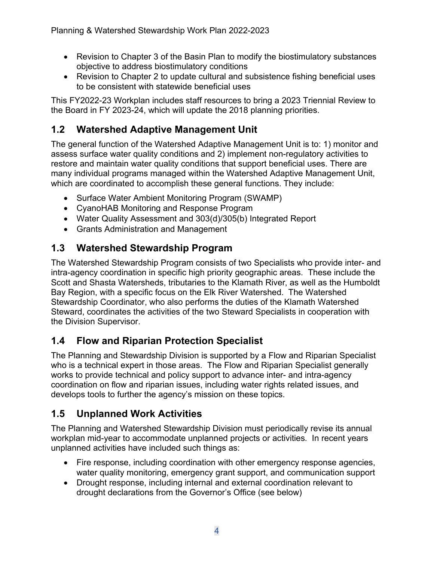- · Revision to Chapter 3 of the Basin Plan to modify the biostimulatory substances objective to address biostimulatory conditions
- · Revision to Chapter 2 to update cultural and subsistence fishing beneficial uses to be consistent with statewide beneficial uses

This FY2022-23 Workplan includes staff resources to bring a 2023 Triennial Review to the Board in FY 2023-24, which will update the 2018 planning priorities.

## <span id="page-3-0"></span>**1.2 Watershed Adaptive Management Unit**

The general function of the Watershed Adaptive Management Unit is to: 1) monitor and assess surface water quality conditions and 2) implement non-regulatory activities to restore and maintain water quality conditions that support beneficial uses. There are many individual programs managed within the Watershed Adaptive Management Unit, which are coordinated to accomplish these general functions. They include:

- Surface Water Ambient Monitoring Program (SWAMP)
- · CyanoHAB Monitoring and Response Program
- · Water Quality Assessment and 303(d)/305(b) Integrated Report
- · Grants Administration and Management

## <span id="page-3-1"></span>**1.3 Watershed Stewardship Program**

The Watershed Stewardship Program consists of two Specialists who provide inter- and intra-agency coordination in specific high priority geographic areas. These include the Scott and Shasta Watersheds, tributaries to the Klamath River, as well as the Humboldt Bay Region, with a specific focus on the Elk River Watershed. The Watershed Stewardship Coordinator, who also performs the duties of the Klamath Watershed Steward, coordinates the activities of the two Steward Specialists in cooperation with the Division Supervisor.

## <span id="page-3-2"></span>**1.4 Flow and Riparian Protection Specialist**

The Planning and Stewardship Division is supported by a Flow and Riparian Specialist who is a technical expert in those areas. The Flow and Riparian Specialist generally works to provide technical and policy support to advance inter- and intra-agency coordination on flow and riparian issues, including water rights related issues, and develops tools to further the agency's mission on these topics.

## <span id="page-3-3"></span>**1.5 Unplanned Work Activities**

The Planning and Watershed Stewardship Division must periodically revise its annual workplan mid-year to accommodate unplanned projects or activities. In recent years unplanned activities have included such things as:

- · Fire response, including coordination with other emergency response agencies, water quality monitoring, emergency grant support, and communication support
- · Drought response, including internal and external coordination relevant to drought declarations from the Governor's Office (see below)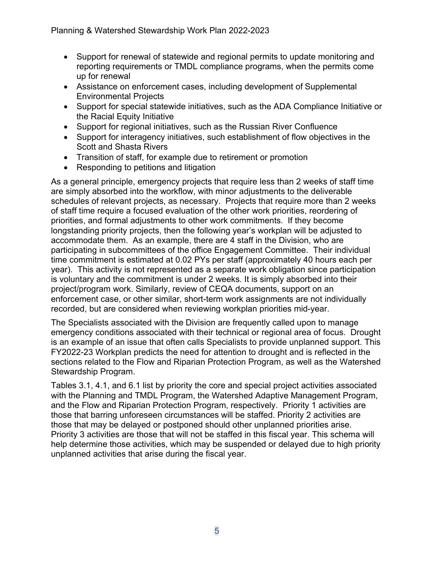- · Support for renewal of statewide and regional permits to update monitoring and reporting requirements or TMDL compliance programs, when the permits come up for renewal
- · Assistance on enforcement cases, including development of Supplemental Environmental Projects
- · Support for special statewide initiatives, such as the ADA Compliance Initiative or the Racial Equity Initiative
- · Support for regional initiatives, such as the Russian River Confluence
- · Support for interagency initiatives, such establishment of flow objectives in the Scott and Shasta Rivers
- · Transition of staff, for example due to retirement or promotion
- · Responding to petitions and litigation

As a general principle, emergency projects that require less than 2 weeks of staff time are simply absorbed into the workflow, with minor adjustments to the deliverable schedules of relevant projects, as necessary. Projects that require more than 2 weeks of staff time require a focused evaluation of the other work priorities, reordering of priorities, and formal adjustments to other work commitments. If they become longstanding priority projects, then the following year's workplan will be adjusted to accommodate them. As an example, there are 4 staff in the Division, who are participating in subcommittees of the office Engagement Committee. Their individual time commitment is estimated at 0.02 PYs per staff (approximately 40 hours each per year). This activity is not represented as a separate work obligation since participation is voluntary and the commitment is under 2 weeks. It is simply absorbed into their project/program work. Similarly, review of CEQA documents, support on an enforcement case, or other similar, short-term work assignments are not individually recorded, but are considered when reviewing workplan priorities mid-year.

The Specialists associated with the Division are frequently called upon to manage emergency conditions associated with their technical or regional area of focus. Drought is an example of an issue that often calls Specialists to provide unplanned support. This FY2022-23 Workplan predicts the need for attention to drought and is reflected in the sections related to the Flow and Riparian Protection Program, as well as the Watershed Stewardship Program.

Tables 3.1, 4.1, and 6.1 list by priority the core and special project activities associated with the Planning and TMDL Program, the Watershed Adaptive Management Program, and the Flow and Riparian Protection Program, respectively. Priority 1 activities are those that barring unforeseen circumstances will be staffed. Priority 2 activities are those that may be delayed or postponed should other unplanned priorities arise. Priority 3 activities are those that will not be staffed in this fiscal year. This schema will help determine those activities, which may be suspended or delayed due to high priority unplanned activities that arise during the fiscal year.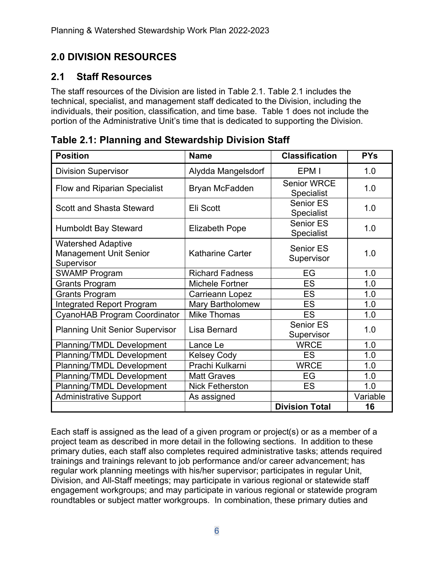## <span id="page-5-0"></span>**2.0 DIVISION RESOURCES**

## <span id="page-5-1"></span>**2.1 Staff Resources**

The staff resources of the Division are listed in Table 2.1. Table 2.1 includes the technical, specialist, and management staff dedicated to the Division, including the individuals, their position, classification, and time base. Table 1 does not include the portion of the Administrative Unit's time that is dedicated to supporting the Division.

| <b>Position</b>                                                          | <b>Name</b>             | <b>Classification</b>                   | <b>PYs</b> |
|--------------------------------------------------------------------------|-------------------------|-----------------------------------------|------------|
| <b>Division Supervisor</b>                                               | Alydda Mangelsdorf      | EPM I                                   | 1.0        |
| <b>Flow and Riparian Specialist</b>                                      | Bryan McFadden          | <b>Senior WRCE</b><br><b>Specialist</b> | 1.0        |
| <b>Scott and Shasta Steward</b>                                          | Eli Scott               | <b>Senior ES</b><br><b>Specialist</b>   | 1.0        |
| <b>Humboldt Bay Steward</b>                                              | <b>Elizabeth Pope</b>   | <b>Senior ES</b><br>Specialist          | 1.0        |
| <b>Watershed Adaptive</b><br><b>Management Unit Senior</b><br>Supervisor | <b>Katharine Carter</b> | Senior ES<br>Supervisor                 | 1.0        |
| <b>SWAMP Program</b>                                                     | <b>Richard Fadness</b>  | EG                                      | 1.0        |
| <b>Grants Program</b>                                                    | <b>Michele Fortner</b>  | <b>ES</b>                               | 1.0        |
| <b>Grants Program</b>                                                    | Carrieann Lopez         | <b>ES</b>                               | 1.0        |
| <b>Integrated Report Program</b>                                         | Mary Bartholomew        | <b>ES</b>                               | 1.0        |
| <b>CyanoHAB Program Coordinator</b>                                      | <b>Mike Thomas</b>      | <b>ES</b>                               | 1.0        |
| <b>Planning Unit Senior Supervisor</b>                                   | Lisa Bernard            | <b>Senior ES</b><br>Supervisor          | 1.0        |
| <b>Planning/TMDL Development</b>                                         | Lance Le                | <b>WRCE</b>                             | 1.0        |
| <b>Planning/TMDL Development</b>                                         | <b>Kelsey Cody</b>      | <b>ES</b>                               | 1.0        |
| <b>Planning/TMDL Development</b>                                         | Prachi Kulkarni         | <b>WRCE</b>                             | 1.0        |
| <b>Planning/TMDL Development</b>                                         | <b>Matt Graves</b>      | EG                                      | 1.0        |
| <b>Planning/TMDL Development</b>                                         | <b>Nick Fetherston</b>  | ES                                      | 1.0        |
| <b>Administrative Support</b>                                            | As assigned             |                                         | Variable   |
|                                                                          |                         | <b>Division Total</b>                   | 16         |

Each staff is assigned as the lead of a given program or project(s) or as a member of a project team as described in more detail in the following sections. In addition to these primary duties, each staff also completes required administrative tasks; attends required trainings and trainings relevant to job performance and/or career advancement; has regular work planning meetings with his/her supervisor; participates in regular Unit, Division, and All-Staff meetings; may participate in various regional or statewide staff engagement workgroups; and may participate in various regional or statewide program roundtables or subject matter workgroups. In combination, these primary duties and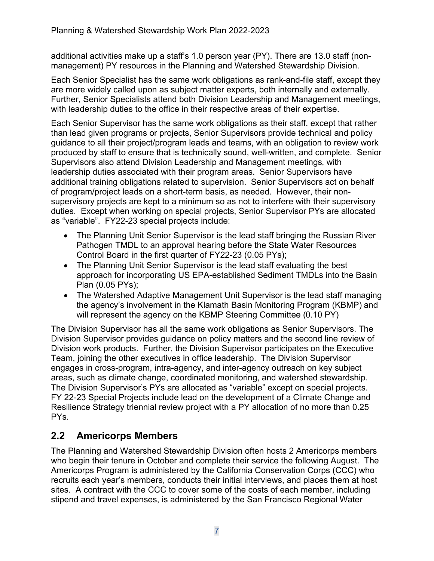additional activities make up a staff's 1.0 person year (PY). There are 13.0 staff (nonmanagement) PY resources in the Planning and Watershed Stewardship Division.

Each Senior Specialist has the same work obligations as rank-and-file staff, except they are more widely called upon as subject matter experts, both internally and externally. Further, Senior Specialists attend both Division Leadership and Management meetings, with leadership duties to the office in their respective areas of their expertise.

Each Senior Supervisor has the same work obligations as their staff, except that rather than lead given programs or projects, Senior Supervisors provide technical and policy guidance to all their project/program leads and teams, with an obligation to review work produced by staff to ensure that is technically sound, well-written, and complete. Senior Supervisors also attend Division Leadership and Management meetings, with leadership duties associated with their program areas. Senior Supervisors have additional training obligations related to supervision. Senior Supervisors act on behalf of program/project leads on a short-term basis, as needed. However, their nonsupervisory projects are kept to a minimum so as not to interfere with their supervisory duties. Except when working on special projects, Senior Supervisor PYs are allocated as "variable". FY22-23 special projects include:

- · The Planning Unit Senior Supervisor is the lead staff bringing the Russian River Pathogen TMDL to an approval hearing before the State Water Resources Control Board in the first quarter of FY22-23 (0.05 PYs);
- The Planning Unit Senior Supervisor is the lead staff evaluating the best approach for incorporating US EPA-established Sediment TMDLs into the Basin Plan (0.05 PYs);
- The Watershed Adaptive Management Unit Supervisor is the lead staff managing the agency's involvement in the Klamath Basin Monitoring Program (KBMP) and will represent the agency on the KBMP Steering Committee (0.10 PY)

The Division Supervisor has all the same work obligations as Senior Supervisors. The Division Supervisor provides guidance on policy matters and the second line review of Division work products. Further, the Division Supervisor participates on the Executive Team, joining the other executives in office leadership. The Division Supervisor engages in cross-program, intra-agency, and inter-agency outreach on key subject areas, such as climate change, coordinated monitoring, and watershed stewardship. The Division Supervisor's PYs are allocated as "variable" except on special projects. FY 22-23 Special Projects include lead on the development of a Climate Change and Resilience Strategy triennial review project with a PY allocation of no more than 0.25 PYs.

## **2.2 Americorps Members**

The Planning and Watershed Stewardship Division often hosts 2 Americorps members who begin their tenure in October and complete their service the following August. The Americorps Program is administered by the California Conservation Corps (CCC) who recruits each year's members, conducts their initial interviews, and places them at host sites. A contract with the CCC to cover some of the costs of each member, including stipend and travel expenses, is administered by the San Francisco Regional Water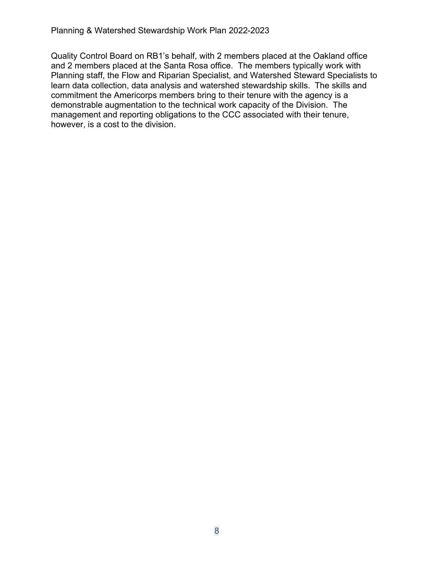Quality Control Board on RB1's behalf, with 2 members placed at the Oakland office and 2 members placed at the Santa Rosa office. The members typically work with Planning staff, the Flow and Riparian Specialist, and Watershed Steward Specialists to learn data collection, data analysis and watershed stewardship skills. The skills and commitment the Americorps members bring to their tenure with the agency is a demonstrable augmentation to the technical work capacity of the Division. The management and reporting obligations to the CCC associated with their tenure, however, is a cost to the division.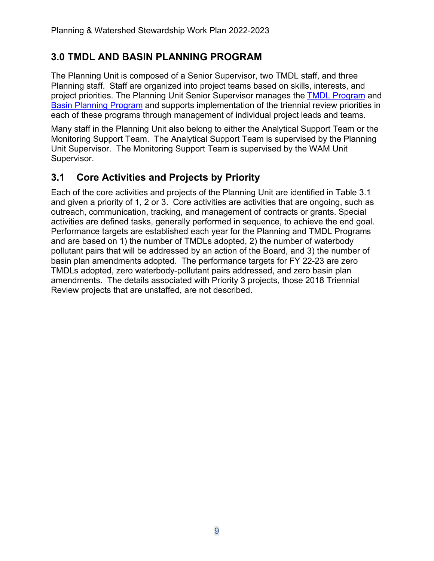## <span id="page-8-0"></span>**3.0 TMDL AND BASIN PLANNING PROGRAM**

The Planning Unit is composed of a Senior Supervisor, two TMDL staff, and three Planning staff. Staff are organized into project teams based on skills, interests, and project priorities. The Planning Unit Senior Supervisor manages the [TMDL Program](https://www.waterboards.ca.gov/northcoast/water_issues/programs/tmdls/) and [Basin Planning Program](https://www.waterboards.ca.gov/northcoast/water_issues/programs/basin_plan/) and supports implementation of the triennial review priorities in each of these programs through management of individual project leads and teams.

Many staff in the Planning Unit also belong to either the Analytical Support Team or the Monitoring Support Team. The Analytical Support Team is supervised by the Planning Unit Supervisor. The Monitoring Support Team is supervised by the WAM Unit Supervisor.

## <span id="page-8-1"></span>**3.1 Core Activities and Projects by Priority**

Each of the core activities and projects of the Planning Unit are identified in Table 3.1 and given a priority of 1, 2 or 3. Core activities are activities that are ongoing, such as outreach, communication, tracking, and management of contracts or grants. Special activities are defined tasks, generally performed in sequence, to achieve the end goal. Performance targets are established each year for the Planning and TMDL Programs and are based on 1) the number of TMDLs adopted, 2) the number of waterbody pollutant pairs that will be addressed by an action of the Board, and 3) the number of basin plan amendments adopted. The performance targets for FY 22-23 are zero TMDLs adopted, zero waterbody-pollutant pairs addressed, and zero basin plan amendments. The details associated with Priority 3 projects, those 2018 Triennial Review projects that are unstaffed, are not described.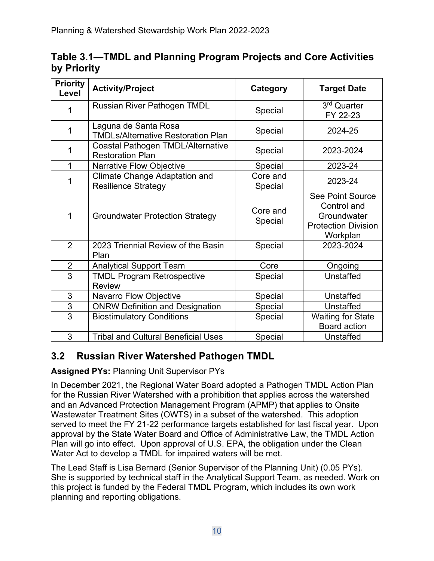|             | Table 3.1—TMDL and Planning Program Projects and Core Activities |  |
|-------------|------------------------------------------------------------------|--|
| by Priority |                                                                  |  |

| <b>Priority</b><br>Level | <b>Activity/Project</b>                                            | Category            | <b>Target Date</b>                                                                              |
|--------------------------|--------------------------------------------------------------------|---------------------|-------------------------------------------------------------------------------------------------|
| 1                        | Russian River Pathogen TMDL                                        | Special             | 3 <sup>rd</sup> Quarter<br>FY 22-23                                                             |
| 1                        | Laguna de Santa Rosa<br><b>TMDLs/Alternative Restoration Plan</b>  | Special             | 2024-25                                                                                         |
| 1                        | Coastal Pathogen TMDL/Alternative<br><b>Restoration Plan</b>       | Special             | 2023-2024                                                                                       |
| 1                        | Narrative Flow Objective                                           | Special             | 2023-24                                                                                         |
| 1                        | <b>Climate Change Adaptation and</b><br><b>Resilience Strategy</b> | Core and<br>Special | 2023-24                                                                                         |
| 1                        | <b>Groundwater Protection Strategy</b>                             | Core and<br>Special | <b>See Point Source</b><br>Control and<br>Groundwater<br><b>Protection Division</b><br>Workplan |
| $\overline{2}$           | 2023 Triennial Review of the Basin<br>Plan                         | Special             | 2023-2024                                                                                       |
| $\overline{2}$           | <b>Analytical Support Team</b>                                     | Core                | Ongoing                                                                                         |
| $\overline{3}$           | <b>TMDL Program Retrospective</b><br><b>Review</b>                 | Special             | <b>Unstaffed</b>                                                                                |
| 3                        | Navarro Flow Objective                                             | Special             | <b>Unstaffed</b>                                                                                |
| $\overline{3}$           | <b>ONRW Definition and Designation</b>                             | Special             | Unstaffed                                                                                       |
| 3                        | <b>Biostimulatory Conditions</b>                                   | Special             | <b>Waiting for State</b><br><b>Board action</b>                                                 |
| 3                        | <b>Tribal and Cultural Beneficial Uses</b>                         | Special             | Unstaffed                                                                                       |

### <span id="page-9-0"></span>**3.2 Russian River Watershed Pathogen TMDL**

#### **Assigned PYs:** Planning Unit Supervisor PYs

In December 2021, the Regional Water Board adopted a Pathogen TMDL Action Plan for the Russian River Watershed with a prohibition that applies across the watershed and an Advanced Protection Management Program (APMP) that applies to Onsite Wastewater Treatment Sites (OWTS) in a subset of the watershed. This adoption served to meet the FY 21-22 performance targets established for last fiscal year. Upon approval by the State Water Board and Office of Administrative Law, the TMDL Action Plan will go into effect. Upon approval of U.S. EPA, the obligation under the Clean Water Act to develop a TMDL for impaired waters will be met.

The Lead Staff is Lisa Bernard (Senior Supervisor of the Planning Unit) (0.05 PYs). She is supported by technical staff in the Analytical Support Team, as needed. Work on this project is funded by the Federal TMDL Program, which includes its own work planning and reporting obligations.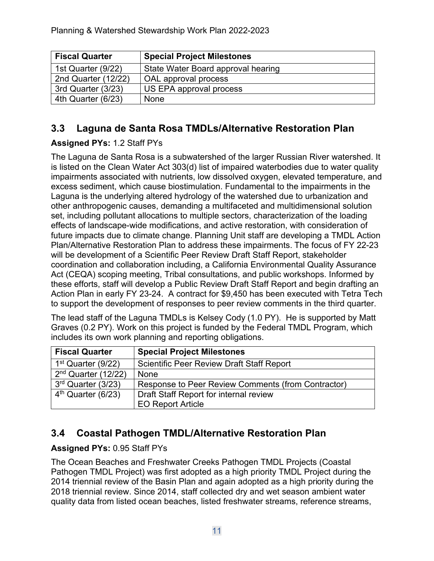| <b>Fiscal Quarter</b> | <b>Special Project Milestones</b>  |  |
|-----------------------|------------------------------------|--|
| 1st Quarter (9/22)    | State Water Board approval hearing |  |
| 2nd Quarter (12/22)   | OAL approval process               |  |
| 3rd Quarter (3/23)    | US EPA approval process            |  |
| 4th Quarter (6/23)    | None                               |  |

### <span id="page-10-0"></span>**3.3 Laguna de Santa Rosa TMDLs/Alternative Restoration Plan**

### **Assigned PYs:** 1.2 Staff PYs

The Laguna de Santa Rosa is a subwatershed of the larger Russian River watershed. It is listed on the Clean Water Act 303(d) list of impaired waterbodies due to water quality impairments associated with nutrients, low dissolved oxygen, elevated temperature, and excess sediment, which cause biostimulation. Fundamental to the impairments in the Laguna is the underlying altered hydrology of the watershed due to urbanization and other anthropogenic causes, demanding a multifaceted and multidimensional solution set, including pollutant allocations to multiple sectors, characterization of the loading effects of landscape-wide modifications, and active restoration, with consideration of future impacts due to climate change. Planning Unit staff are developing a TMDL Action Plan/Alternative Restoration Plan to address these impairments. The focus of FY 22-23 will be development of a Scientific Peer Review Draft Staff Report, stakeholder coordination and collaboration including, a California Environmental Quality Assurance Act (CEQA) scoping meeting, Tribal consultations, and public workshops. Informed by these efforts, staff will develop a Public Review Draft Staff Report and begin drafting an Action Plan in early FY 23-24. A contract for \$9,450 has been executed with Tetra Tech to support the development of responses to peer review comments in the third quarter.

The lead staff of the Laguna TMDLs is Kelsey Cody (1.0 PY). He is supported by Matt Graves (0.2 PY). Work on this project is funded by the Federal TMDL Program, which includes its own work planning and reporting obligations.

| <b>Fiscal Quarter</b> | <b>Special Project Milestones</b>                  |
|-----------------------|----------------------------------------------------|
| $1st$ Quarter (9/22)  | <b>Scientific Peer Review Draft Staff Report</b>   |
| $2nd$ Quarter (12/22) | None                                               |
| 3rd Quarter (3/23)    | Response to Peer Review Comments (from Contractor) |
| $4th$ Quarter (6/23)  | Draft Staff Report for internal review             |
|                       | <b>EO Report Article</b>                           |

### <span id="page-10-1"></span>**3.4 Coastal Pathogen TMDL/Alternative Restoration Plan**

#### **Assigned PYs:** 0.95 Staff PYs

The Ocean Beaches and Freshwater Creeks Pathogen TMDL Projects (Coastal Pathogen TMDL Project) was first adopted as a high priority TMDL Project during the 2014 triennial review of the Basin Plan and again adopted as a high priority during the 2018 triennial review. Since 2014, staff collected dry and wet season ambient water quality data from listed ocean beaches, listed freshwater streams, reference streams,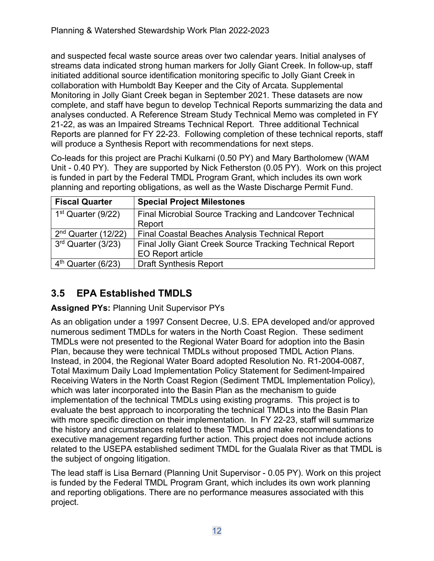and suspected fecal waste source areas over two calendar years. Initial analyses of streams data indicated strong human markers for Jolly Giant Creek. In follow-up, staff initiated additional source identification monitoring specific to Jolly Giant Creek in collaboration with Humboldt Bay Keeper and the City of Arcata. Supplemental Monitoring in Jolly Giant Creek began in September 2021. These datasets are now complete, and staff have begun to develop Technical Reports summarizing the data and analyses conducted. A Reference Stream Study Technical Memo was completed in FY 21-22, as was an Impaired Streams Technical Report. Three additional Technical Reports are planned for FY 22-23. Following completion of these technical reports, staff will produce a Synthesis Report with recommendations for next steps.

Co-leads for this project are Prachi Kulkarni (0.50 PY) and Mary Bartholomew (WAM Unit - 0.40 PY). They are supported by Nick Fetherston (0.05 PY). Work on this project is funded in part by the Federal TMDL Program Grant, which includes its own work planning and reporting obligations, as well as the Waste Discharge Permit Fund.

| <b>Fiscal Quarter</b> | <b>Special Project Milestones</b>                                                    |  |
|-----------------------|--------------------------------------------------------------------------------------|--|
| $1st$ Quarter (9/22)  | Final Microbial Source Tracking and Landcover Technical<br>Report                    |  |
| $2nd$ Quarter (12/22) | <b>Final Coastal Beaches Analysis Technical Report</b>                               |  |
| 3rd Quarter (3/23)    | Final Jolly Giant Creek Source Tracking Technical Report<br><b>EO Report article</b> |  |
| $4th$ Quarter (6/23)  | <b>Draft Synthesis Report</b>                                                        |  |

## <span id="page-11-0"></span>**3.5 EPA Established TMDLS**

**Assigned PYs:** Planning Unit Supervisor PYs

As an obligation under a 1997 Consent Decree, U.S. EPA developed and/or approved numerous sediment TMDLs for waters in the North Coast Region. These sediment TMDLs were not presented to the Regional Water Board for adoption into the Basin Plan, because they were technical TMDLs without proposed TMDL Action Plans. Instead, in 2004, the Regional Water Board adopted Resolution No. R1-2004-0087, Total Maximum Daily Load Implementation Policy Statement for Sediment-Impaired Receiving Waters in the North Coast Region (Sediment TMDL Implementation Policy), which was later incorporated into the Basin Plan as the mechanism to guide implementation of the technical TMDLs using existing programs. This project is to evaluate the best approach to incorporating the technical TMDLs into the Basin Plan with more specific direction on their implementation. In FY 22-23, staff will summarize the history and circumstances related to these TMDLs and make recommendations to executive management regarding further action. This project does not include actions related to the USEPA established sediment TMDL for the Gualala River as that TMDL is the subject of ongoing litigation.

The lead staff is Lisa Bernard (Planning Unit Supervisor - 0.05 PY). Work on this project is funded by the Federal TMDL Program Grant, which includes its own work planning and reporting obligations. There are no performance measures associated with this project.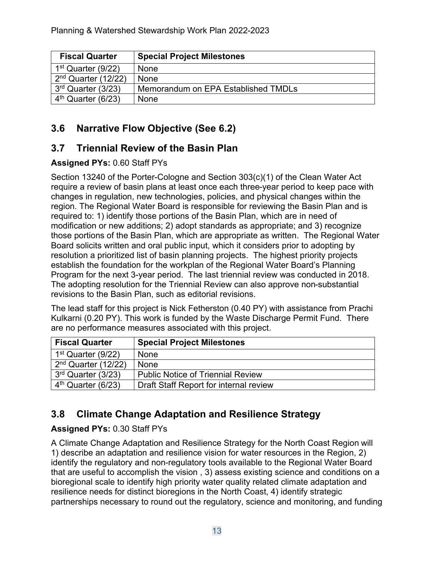| <b>Fiscal Quarter</b>          | <b>Special Project Milestones</b>   |
|--------------------------------|-------------------------------------|
| 1 <sup>st</sup> Quarter (9/22) | None                                |
| $2nd$ Quarter (12/22)          | None                                |
| 3 <sup>rd</sup> Quarter (3/23) | Memorandum on EPA Established TMDLs |
| $4th$ Quarter (6/23)           | None                                |

## <span id="page-12-0"></span>**3.6 Narrative Flow Objective (See 6.2)**

### <span id="page-12-1"></span>**3.7 Triennial Review of the Basin Plan**

#### **Assigned PYs:** 0.60 Staff PYs

Section 13240 of the Porter-Cologne and Section 303(c)(1) of the Clean Water Act require a review of basin plans at least once each three-year period to keep pace with changes in regulation, new technologies, policies, and physical changes within the region. The Regional Water Board is responsible for reviewing the Basin Plan and is required to: 1) identify those portions of the Basin Plan, which are in need of modification or new additions; 2) adopt standards as appropriate; and 3) recognize those portions of the Basin Plan, which are appropriate as written. The Regional Water Board solicits written and oral public input, which it considers prior to adopting by resolution a prioritized list of basin planning projects. The highest priority projects establish the foundation for the workplan of the Regional Water Board's Planning Program for the next 3-year period. The last triennial review was conducted in 2018. The adopting resolution for the Triennial Review can also approve non-substantial revisions to the Basin Plan, such as editorial revisions.

The lead staff for this project is Nick Fetherston (0.40 PY) with assistance from Prachi Kulkarni (0.20 PY). This work is funded by the Waste Discharge Permit Fund. There are no performance measures associated with this project.

| <b>Fiscal Quarter</b>          | <b>Special Project Milestones</b>        |
|--------------------------------|------------------------------------------|
| 1 <sup>st</sup> Quarter (9/22) | None                                     |
| $2nd$ Quarter (12/22)          | None                                     |
| 3 <sup>rd</sup> Quarter (3/23) | <b>Public Notice of Triennial Review</b> |
| $4th$ Quarter (6/23)           | Draft Staff Report for internal review   |

## <span id="page-12-2"></span>**3.8 Climate Change Adaptation and Resilience Strategy**

#### **Assigned PYs:** 0.30 Staff PYs

A Climate Change Adaptation and Resilience Strategy for the North Coast Region will 1) describe an adaptation and resilience vision for water resources in the Region, 2) identify the regulatory and non-regulatory tools available to the Regional Water Board that are useful to accomplish the vision , 3) assess existing science and conditions on a bioregional scale to identify high priority water quality related climate adaptation and resilience needs for distinct bioregions in the North Coast, 4) identify strategic partnerships necessary to round out the regulatory, science and monitoring, and funding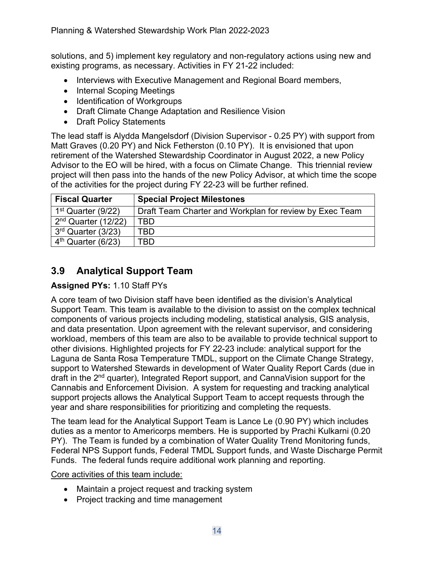solutions, and 5) implement key regulatory and non-regulatory actions using new and existing programs, as necessary. Activities in FY 21-22 included:

- · Interviews with Executive Management and Regional Board members,
- Internal Scoping Meetings
- · Identification of Workgroups
- · Draft Climate Change Adaptation and Resilience Vision
- · Draft Policy Statements

The lead staff is Alydda Mangelsdorf (Division Supervisor - 0.25 PY) with support from Matt Graves (0.20 PY) and Nick Fetherston (0.10 PY). It is envisioned that upon retirement of the Watershed Stewardship Coordinator in August 2022, a new Policy Advisor to the EO will be hired, with a focus on Climate Change. This triennial review project will then pass into the hands of the new Policy Advisor, at which time the scope of the activities for the project during FY 22-23 will be further refined.

| <b>Fiscal Quarter</b>          | <b>Special Project Milestones</b>                       |
|--------------------------------|---------------------------------------------------------|
| $1st$ Quarter (9/22)           | Draft Team Charter and Workplan for review by Exec Team |
| $2nd$ Quarter (12/22)          | TBD                                                     |
| 3 <sup>rd</sup> Quarter (3/23) | TBD                                                     |
| $4th$ Quarter (6/23)           | TBD                                                     |

## <span id="page-13-0"></span>**3.9 Analytical Support Team**

#### **Assigned PYs:** 1.10 Staff PYs

A core team of two Division staff have been identified as the division's Analytical Support Team. This team is available to the division to assist on the complex technical components of various projects including modeling, statistical analysis, GIS analysis, and data presentation. Upon agreement with the relevant supervisor, and considering workload, members of this team are also to be available to provide technical support to other divisions. Highlighted projects for FY 22-23 include: analytical support for the Laguna de Santa Rosa Temperature TMDL, support on the Climate Change Strategy, support to Watershed Stewards in development of Water Quality Report Cards (due in draft in the 2nd quarter), Integrated Report support, and CannaVision support for the Cannabis and Enforcement Division. A system for requesting and tracking analytical support projects allows the Analytical Support Team to accept requests through the year and share responsibilities for prioritizing and completing the requests.

The team lead for the Analytical Support Team is Lance Le (0.90 PY) which includes duties as a mentor to Americorps members. He is supported by Prachi Kulkarni (0.20 PY). The Team is funded by a combination of Water Quality Trend Monitoring funds, Federal NPS Support funds, Federal TMDL Support funds, and Waste Discharge Permit Funds. The federal funds require additional work planning and reporting.

#### Core activities of this team include:

- Maintain a project request and tracking system
- · Project tracking and time management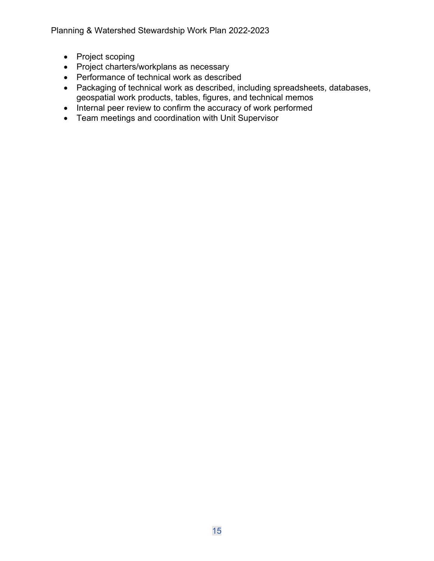Planning & Watershed Stewardship Work Plan 2022-2023

- Project scoping
- · Project charters/workplans as necessary
- · Performance of technical work as described
- · Packaging of technical work as described, including spreadsheets, databases, geospatial work products, tables, figures, and technical memos
- · Internal peer review to confirm the accuracy of work performed
- · Team meetings and coordination with Unit Supervisor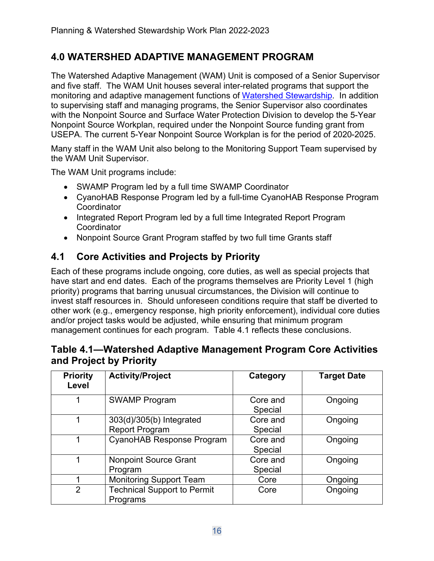## <span id="page-15-0"></span>**4.0 WATERSHED ADAPTIVE MANAGEMENT PROGRAM**

The Watershed Adaptive Management (WAM) Unit is composed of a Senior Supervisor and five staff. The WAM Unit houses several inter-related programs that support the monitoring and adaptive management functions of [Watershed Stewardship.](file://wb-rb1-file-01.ca.epa.local/users$/jcurtis/2021_04%20Work/Waterhed_Stewardship_Diagram.pdf) In addition to supervising staff and managing programs, the Senior Supervisor also coordinates with the Nonpoint Source and Surface Water Protection Division to develop the 5-Year Nonpoint Source Workplan, required under the Nonpoint Source funding grant from USEPA. The current 5-Year Nonpoint Source Workplan is for the period of 2020-2025.

Many staff in the WAM Unit also belong to the Monitoring Support Team supervised by the WAM Unit Supervisor.

The WAM Unit programs include:

- SWAMP Program led by a full time SWAMP Coordinator
- · CyanoHAB Response Program led by a full-time CyanoHAB Response Program **Coordinator**
- · Integrated Report Program led by a full time Integrated Report Program **Coordinator**
- Nonpoint Source Grant Program staffed by two full time Grants staff

## <span id="page-15-1"></span>**4.1 Core Activities and Projects by Priority**

Each of these programs include ongoing, core duties, as well as special projects that have start and end dates. Each of the programs themselves are Priority Level 1 (high priority) programs that barring unusual circumstances, the Division will continue to invest staff resources in. Should unforeseen conditions require that staff be diverted to other work (e.g., emergency response, high priority enforcement), individual core duties and/or project tasks would be adjusted, while ensuring that minimum program management continues for each program. Table 4.1 reflects these conclusions.

#### **Table 4.1—Watershed Adaptive Management Program Core Activities and Project by Priority**

| <b>Priority</b><br>Level | <b>Activity/Project</b>                           | Category            | <b>Target Date</b> |
|--------------------------|---------------------------------------------------|---------------------|--------------------|
|                          | <b>SWAMP Program</b>                              | Core and<br>Special | Ongoing            |
| 1                        | 303(d)/305(b) Integrated<br><b>Report Program</b> | Core and<br>Special | Ongoing            |
|                          | <b>CyanoHAB Response Program</b>                  | Core and<br>Special | Ongoing            |
| 1                        | <b>Nonpoint Source Grant</b><br>Program           | Core and<br>Special | Ongoing            |
|                          | <b>Monitoring Support Team</b>                    | Core                | Ongoing            |
| $\overline{2}$           | <b>Technical Support to Permit</b><br>Programs    | Core                | Ongoing            |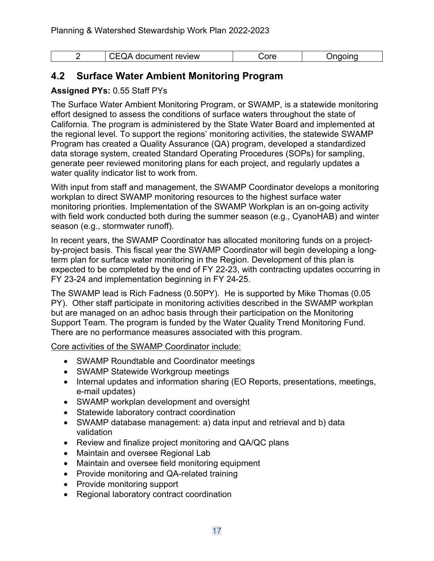| review<br>- -- -<br>. | $\sim$ $\sim$ |
|-----------------------|---------------|
|                       |               |

### <span id="page-16-0"></span>**4.2 Surface Water Ambient Monitoring Program**

#### **Assigned PYs:** 0.55 Staff PYs

The Surface Water Ambient Monitoring Program, or SWAMP, is a statewide monitoring effort designed to assess the conditions of surface waters throughout the state of California. The program is administered by the State Water Board and implemented at the regional level. To support the regions' monitoring activities, the statewide SWAMP Program has created a Quality Assurance (QA) program, developed a standardized data storage system, created Standard Operating Procedures (SOPs) for sampling, generate peer reviewed monitoring plans for each project, and regularly updates a water quality indicator list to work from.

With input from staff and management, the SWAMP Coordinator develops a monitoring workplan to direct SWAMP monitoring resources to the highest surface water monitoring priorities. Implementation of the SWAMP Workplan is an on-going activity with field work conducted both during the summer season (e.g., CyanoHAB) and winter season (e.g., stormwater runoff).

In recent years, the SWAMP Coordinator has allocated monitoring funds on a projectby-project basis. This fiscal year the SWAMP Coordinator will begin developing a longterm plan for surface water monitoring in the Region. Development of this plan is expected to be completed by the end of FY 22-23, with contracting updates occurring in FY 23-24 and implementation beginning in FY 24-25.

The SWAMP lead is Rich Fadness (0.50PY). He is supported by Mike Thomas (0.05 PY). Other staff participate in monitoring activities described in the SWAMP workplan but are managed on an adhoc basis through their participation on the Monitoring Support Team. The program is funded by the Water Quality Trend Monitoring Fund. There are no performance measures associated with this program.

Core activities of the SWAMP Coordinator include:

- · SWAMP Roundtable and Coordinator meetings
- SWAMP Statewide Workgroup meetings
- · Internal updates and information sharing (EO Reports, presentations, meetings, e-mail updates)
- · SWAMP workplan development and oversight
- · Statewide laboratory contract coordination
- SWAMP database management: a) data input and retrieval and b) data validation
- Review and finalize project monitoring and QA/QC plans
- · Maintain and oversee Regional Lab
- · Maintain and oversee field monitoring equipment
- Provide monitoring and QA-related training
- Provide monitoring support
- · Regional laboratory contract coordination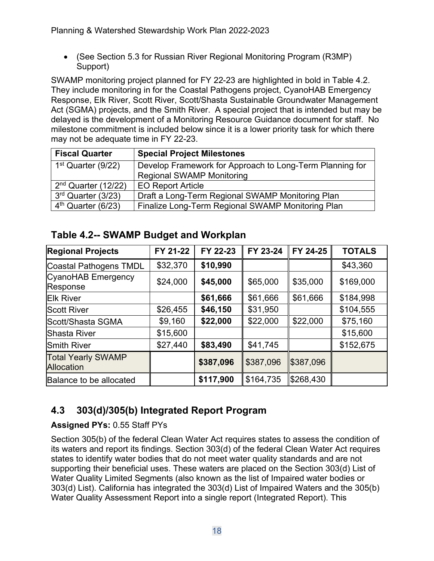· (See Section 5.3 for Russian River Regional Monitoring Program (R3MP) Support)

SWAMP monitoring project planned for FY 22-23 are highlighted in bold in Table 4.2. They include monitoring in for the Coastal Pathogens project, CyanoHAB Emergency Response, Elk River, Scott River, Scott/Shasta Sustainable Groundwater Management Act (SGMA) projects, and the Smith River. A special project that is intended but may be delayed is the development of a Monitoring Resource Guidance document for staff. No milestone commitment is included below since it is a lower priority task for which there may not be adequate time in FY 22-23.

| <b>Fiscal Quarter</b>          | <b>Special Project Milestones</b>                        |
|--------------------------------|----------------------------------------------------------|
| 1 <sup>st</sup> Quarter (9/22) | Develop Framework for Approach to Long-Term Planning for |
|                                | <b>Regional SWAMP Monitoring</b>                         |
| $2nd$ Quarter (12/22)          | <b>EO Report Article</b>                                 |
| 3rd Quarter (3/23)             | Draft a Long-Term Regional SWAMP Monitoring Plan         |
| $4th$ Quarter (6/23)           | Finalize Long-Term Regional SWAMP Monitoring Plan        |

| <b>Regional Projects</b>                       | FY 21-22 | FY 22-23  | FY 23-24  | FY 24-25  | <b>TOTALS</b> |
|------------------------------------------------|----------|-----------|-----------|-----------|---------------|
| Coastal Pathogens TMDL                         | \$32,370 | \$10,990  |           |           | \$43,360      |
| CyanoHAB Emergency<br>Response                 | \$24,000 | \$45,000  | \$65,000  | \$35,000  | \$169,000     |
| <b>Elk River</b>                               |          | \$61,666  | \$61,666  | \$61,666  | \$184,998     |
| <b>Scott River</b>                             | \$26,455 | \$46,150  | \$31,950  |           | \$104,555     |
| Scott/Shasta SGMA                              | \$9,160  | \$22,000  | \$22,000  | \$22,000  | \$75,160      |
| <b>Shasta River</b>                            | \$15,600 |           |           |           | \$15,600      |
| <b>Smith River</b>                             | \$27,440 | \$83,490  | \$41,745  |           | \$152,675     |
| <b>Total Yearly SWAMP</b><br><b>Allocation</b> |          | \$387,096 | \$387,096 | \$387,096 |               |
| Balance to be allocated                        |          | \$117,900 | \$164,735 | \$268,430 |               |

## <span id="page-17-0"></span>**4.3 303(d)/305(b) Integrated Report Program**

### **Assigned PYs:** 0.55 Staff PYs

Section 305(b) of the federal Clean Water Act requires states to assess the condition of its waters and report its findings. Section 303(d) of the federal Clean Water Act requires states to identify water bodies that do not meet water quality standards and are not supporting their beneficial uses. These waters are placed on the Section 303(d) List of Water Quality Limited Segments (also known as the list of Impaired water bodies or 303(d) List). California has integrated the 303(d) List of Impaired Waters and the 305(b) Water Quality Assessment Report into a single report (Integrated Report). This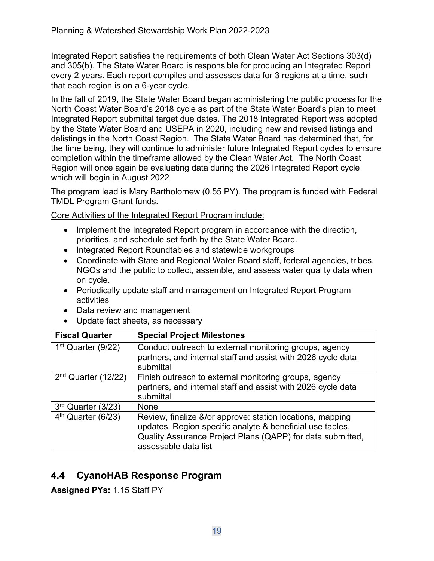Integrated Report satisfies the requirements of both Clean Water Act Sections 303(d) and 305(b). The State Water Board is responsible for producing an Integrated Report every 2 years. Each report compiles and assesses data for 3 regions at a time, such that each region is on a 6-year cycle.

In the fall of 2019, the State Water Board began administering the public process for the North Coast Water Board's 2018 cycle as part of the State Water Board's plan to meet Integrated Report submittal target due dates. The 2018 Integrated Report was adopted by the State Water Board and USEPA in 2020, including new and revised listings and delistings in the North Coast Region. The State Water Board has determined that, for the time being, they will continue to administer future Integrated Report cycles to ensure completion within the timeframe allowed by the Clean Water Act. The North Coast Region will once again be evaluating data during the 2026 Integrated Report cycle which will begin in August 2022

The program lead is Mary Bartholomew (0.55 PY). The program is funded with Federal TMDL Program Grant funds.

Core Activities of the Integrated Report Program include:

- Implement the Integrated Report program in accordance with the direction, priorities, and schedule set forth by the State Water Board.
- · Integrated Report Roundtables and statewide workgroups
- · Coordinate with State and Regional Water Board staff, federal agencies, tribes, NGOs and the public to collect, assemble, and assess water quality data when on cycle.
- · Periodically update staff and management on Integrated Report Program activities
- · Data review and management
- · Update fact sheets, as necessary

| <b>Fiscal Quarter</b> | <b>Special Project Milestones</b>                                                                                                                                                                            |
|-----------------------|--------------------------------------------------------------------------------------------------------------------------------------------------------------------------------------------------------------|
| $1st$ Quarter (9/22)  | Conduct outreach to external monitoring groups, agency<br>partners, and internal staff and assist with 2026 cycle data<br>submittal                                                                          |
| $2nd$ Quarter (12/22) | Finish outreach to external monitoring groups, agency<br>partners, and internal staff and assist with 2026 cycle data<br>submittal                                                                           |
| $3rd$ Quarter (3/23)  | None                                                                                                                                                                                                         |
| $4th$ Quarter (6/23)  | Review, finalize &/or approve: station locations, mapping<br>updates, Region specific analyte & beneficial use tables,<br>Quality Assurance Project Plans (QAPP) for data submitted.<br>assessable data list |

## <span id="page-18-0"></span>**4.4 CyanoHAB Response Program**

**Assigned PYs:** 1.15 Staff PY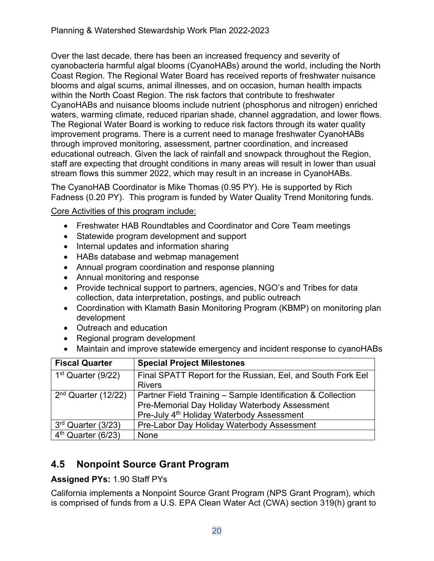Over the last decade, there has been an increased frequency and severity of cyanobacteria harmful algal blooms (CyanoHABs) around the world, including the North Coast Region. The Regional Water Board has received reports of freshwater nuisance blooms and algal scums, animal illnesses, and on occasion, human health impacts within the North Coast Region. The risk factors that contribute to freshwater CyanoHABs and nuisance blooms include nutrient (phosphorus and nitrogen) enriched waters, warming climate, reduced riparian shade, channel aggradation, and lower flows. The Regional Water Board is working to reduce risk factors through its water quality improvement programs. There is a current need to manage freshwater CyanoHABs through improved monitoring, assessment, partner coordination, and increased educational outreach. Given the lack of rainfall and snowpack throughout the Region, staff are expecting that drought conditions in many areas will result in lower than usual stream flows this summer 2022, which may result in an increase in CyanoHABs.

The CyanoHAB Coordinator is Mike Thomas (0.95 PY). He is supported by Rich Fadness (0.20 PY). This program is funded by Water Quality Trend Monitoring funds.

#### Core Activities of this program include:

- · Freshwater HAB Roundtables and Coordinator and Core Team meetings
- Statewide program development and support
- · Internal updates and information sharing
- · HABs database and webmap management
- Annual program coordination and response planning
- · Annual monitoring and response
- · Provide technical support to partners, agencies, NGO's and Tribes for data collection, data interpretation, postings, and public outreach
- · Coordination with Klamath Basin Monitoring Program (KBMP) on monitoring plan development
- Outreach and education
- · Regional program development
- · Maintain and improve statewide emergency and incident response to cyanoHABs

| <b>Fiscal Quarter</b> | <b>Special Project Milestones</b>                           |
|-----------------------|-------------------------------------------------------------|
| $1st$ Quarter (9/22)  | Final SPATT Report for the Russian, Eel, and South Fork Eel |
|                       | <b>Rivers</b>                                               |
| $2nd$ Quarter (12/22) | Partner Field Training - Sample Identification & Collection |
|                       | Pre-Memorial Day Holiday Waterbody Assessment               |
|                       | Pre-July 4 <sup>th</sup> Holiday Waterbody Assessment       |
| $3rd$ Quarter (3/23)  | Pre-Labor Day Holiday Waterbody Assessment                  |
| $4th$ Quarter (6/23)  | None                                                        |

### <span id="page-19-0"></span>**4.5 Nonpoint Source Grant Program**

#### **Assigned PYs:** 1.90 Staff PYs

California implements a Nonpoint Source Grant Program (NPS Grant Program), which is comprised of funds from a U.S. EPA Clean Water Act (CWA) section 319(h) grant to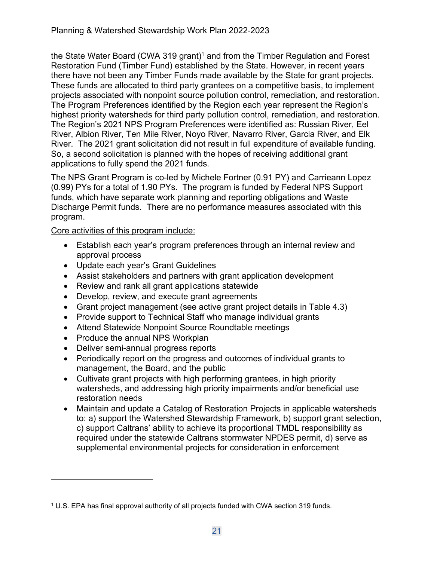the State Water Board (CWA 3[1](#page-20-0)9 grant)<sup>1</sup> and from the Timber Regulation and Forest Restoration Fund (Timber Fund) established by the State. However, in recent years there have not been any Timber Funds made available by the State for grant projects. These funds are allocated to third party grantees on a competitive basis, to implement projects associated with nonpoint source pollution control, remediation, and restoration. The Program Preferences identified by the Region each year represent the Region's highest priority watersheds for third party pollution control, remediation, and restoration. The Region's 2021 NPS Program Preferences were identified as: Russian River, Eel River, Albion River, Ten Mile River, Noyo River, Navarro River, Garcia River, and Elk River. The 2021 grant solicitation did not result in full expenditure of available funding. So, a second solicitation is planned with the hopes of receiving additional grant applications to fully spend the 2021 funds.

The NPS Grant Program is co-led by Michele Fortner (0.91 PY) and Carrieann Lopez (0.99) PYs for a total of 1.90 PYs. The program is funded by Federal NPS Support funds, which have separate work planning and reporting obligations and Waste Discharge Permit funds. There are no performance measures associated with this program.

Core activities of this program include:

- · Establish each year's program preferences through an internal review and approval process
- · Update each year's Grant Guidelines
- · Assist stakeholders and partners with grant application development
- · Review and rank all grant applications statewide
- · Develop, review, and execute grant agreements
- · Grant project management (see active grant project details in Table 4.3)
- · Provide support to Technical Staff who manage individual grants
- Attend Statewide Nonpoint Source Roundtable meetings
- Produce the annual NPS Workplan
- · Deliver semi-annual progress reports
- · Periodically report on the progress and outcomes of individual grants to management, the Board, and the public
- · Cultivate grant projects with high performing grantees, in high priority watersheds, and addressing high priority impairments and/or beneficial use restoration needs
- · Maintain and update a Catalog of Restoration Projects in applicable watersheds to: a) support the Watershed Stewardship Framework, b) support grant selection, c) support Caltrans' ability to achieve its proportional TMDL responsibility as required under the statewide Caltrans stormwater NPDES permit, d) serve as supplemental environmental projects for consideration in enforcement

<span id="page-20-0"></span><sup>1</sup> U.S. EPA has final approval authority of all projects funded with CWA section 319 funds.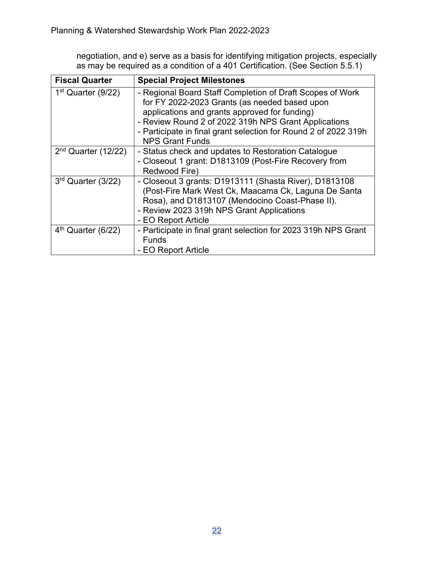negotiation, and e) serve as a basis for identifying mitigation projects, especially as may be required as a condition of a 401 Certification. (See Section 5.5.1)

| <b>Fiscal Quarter</b> | <b>Special Project Milestones</b>                                                                                                                                                                                                                                                                                |
|-----------------------|------------------------------------------------------------------------------------------------------------------------------------------------------------------------------------------------------------------------------------------------------------------------------------------------------------------|
| $1st$ Quarter (9/22)  | - Regional Board Staff Completion of Draft Scopes of Work<br>for FY 2022-2023 Grants (as needed based upon<br>applications and grants approved for funding)<br>- Review Round 2 of 2022 319h NPS Grant Applications<br>- Participate in final grant selection for Round 2 of 2022 319h<br><b>NPS Grant Funds</b> |
| $2nd$ Quarter (12/22) | - Status check and updates to Restoration Catalogue<br>- Closeout 1 grant: D1813109 (Post-Fire Recovery from<br>Redwood Fire)                                                                                                                                                                                    |
| 3rd Quarter (3/22)    | - Closeout 3 grants: D1913111 (Shasta River), D1813108<br>(Post-Fire Mark West Ck, Maacama Ck, Laguna De Santa<br>Rosa), and D1813107 (Mendocino Coast-Phase II).<br>- Review 2023 319h NPS Grant Applications<br>- EO Report Article                                                                            |
| $4th$ Quarter (6/22)  | - Participate in final grant selection for 2023 319h NPS Grant<br><b>Funds</b><br>- EO Report Article                                                                                                                                                                                                            |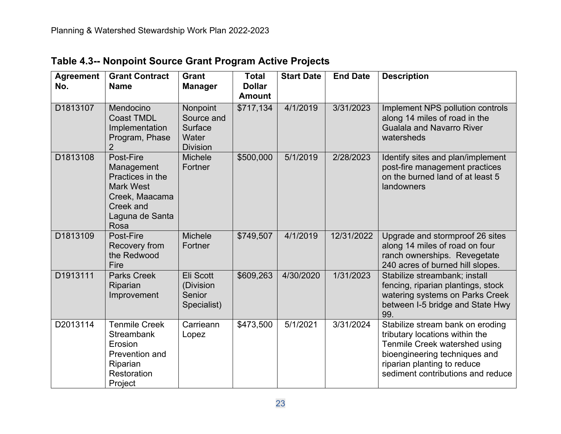| <b>Agreement</b><br>No. | <b>Grant Contract</b><br><b>Name</b>                                                                                             | <b>Grant</b><br><b>Manager</b>                                | <b>Total</b><br><b>Dollar</b><br><b>Amount</b> | <b>Start Date</b> | <b>End Date</b> | <b>Description</b>                                                                                                                                                                                       |
|-------------------------|----------------------------------------------------------------------------------------------------------------------------------|---------------------------------------------------------------|------------------------------------------------|-------------------|-----------------|----------------------------------------------------------------------------------------------------------------------------------------------------------------------------------------------------------|
| D1813107                | Mendocino<br><b>Coast TMDL</b><br>Implementation<br>Program, Phase<br>2                                                          | Nonpoint<br>Source and<br>Surface<br>Water<br><b>Division</b> | \$717,134                                      | 4/1/2019          | 3/31/2023       | Implement NPS pollution controls<br>along 14 miles of road in the<br><b>Gualala and Navarro River</b><br>watersheds                                                                                      |
| D1813108                | Post-Fire<br>Management<br>Practices in the<br><b>Mark West</b><br>Creek, Maacama<br><b>Creek and</b><br>Laguna de Santa<br>Rosa | Michele<br>Fortner                                            | \$500,000                                      | 5/1/2019          | 2/28/2023       | Identify sites and plan/implement<br>post-fire management practices<br>on the burned land of at least 5<br>landowners                                                                                    |
| D1813109                | Post-Fire<br>Recovery from<br>the Redwood<br>Fire                                                                                | Michele<br>Fortner                                            | \$749,507                                      | 4/1/2019          | 12/31/2022      | Upgrade and stormproof 26 sites<br>along 14 miles of road on four<br>ranch ownerships. Revegetate<br>240 acres of burned hill slopes.                                                                    |
| D1913111                | <b>Parks Creek</b><br>Riparian<br>Improvement                                                                                    | Eli Scott<br>(Division<br>Senior<br>Specialist)               | \$609,263                                      | 4/30/2020         | 1/31/2023       | Stabilize streambank; install<br>fencing, riparian plantings, stock<br>watering systems on Parks Creek<br>between I-5 bridge and State Hwy<br>99.                                                        |
| D2013114                | <b>Tenmile Creek</b><br>Streambank<br>Erosion<br>Prevention and<br>Riparian<br>Restoration<br>Project                            | Carrieann<br>Lopez                                            | \$473,500                                      | 5/1/2021          | 3/31/2024       | Stabilize stream bank on eroding<br>tributary locations within the<br>Tenmile Creek watershed using<br>bioengineering techniques and<br>riparian planting to reduce<br>sediment contributions and reduce |

**Table 4.3-- Nonpoint Source Grant Program Active Projects**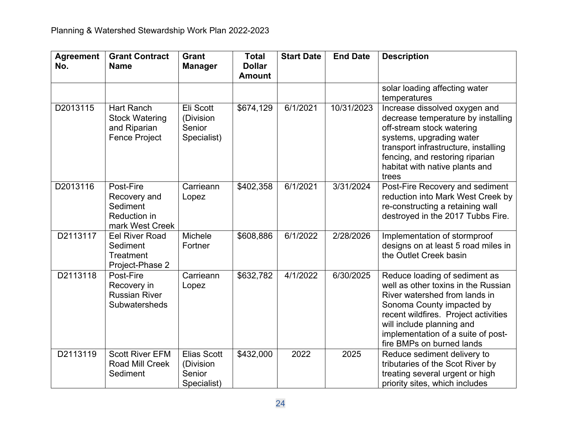| <b>Agreement</b><br>No. | <b>Grant Contract</b><br><b>Name</b>                                               | <b>Grant</b><br><b>Manager</b>                           | <b>Total</b><br><b>Dollar</b><br><b>Amount</b> | <b>Start Date</b> | <b>End Date</b> | <b>Description</b>                                                                                                                                                                                                                                                         |
|-------------------------|------------------------------------------------------------------------------------|----------------------------------------------------------|------------------------------------------------|-------------------|-----------------|----------------------------------------------------------------------------------------------------------------------------------------------------------------------------------------------------------------------------------------------------------------------------|
|                         |                                                                                    |                                                          |                                                |                   |                 | solar loading affecting water<br>temperatures                                                                                                                                                                                                                              |
| D2013115                | <b>Hart Ranch</b><br><b>Stock Watering</b><br>and Riparian<br><b>Fence Project</b> | Eli Scott<br>(Division<br>Senior<br>Specialist)          | \$674,129                                      | 6/1/2021          | 10/31/2023      | Increase dissolved oxygen and<br>decrease temperature by installing<br>off-stream stock watering<br>systems, upgrading water<br>transport infrastructure, installing<br>fencing, and restoring riparian<br>habitat with native plants and<br>trees                         |
| D2013116                | Post-Fire<br>Recovery and<br>Sediment<br><b>Reduction in</b><br>mark West Creek    | Carrieann<br>Lopez                                       | \$402,358                                      | 6/1/2021          | 3/31/2024       | Post-Fire Recovery and sediment<br>reduction into Mark West Creek by<br>re-constructing a retaining wall<br>destroyed in the 2017 Tubbs Fire.                                                                                                                              |
| D2113117                | <b>Eel River Road</b><br>Sediment<br>Treatment<br>Project-Phase 2                  | Michele<br>Fortner                                       | \$608,886                                      | 6/1/2022          | 2/28/2026       | Implementation of stormproof<br>designs on at least 5 road miles in<br>the Outlet Creek basin                                                                                                                                                                              |
| D2113118                | Post-Fire<br>Recovery in<br><b>Russian River</b><br><b>Subwatersheds</b>           | Carrieann<br>Lopez                                       | \$632,782                                      | 4/1/2022          | 6/30/2025       | Reduce loading of sediment as<br>well as other toxins in the Russian<br>River watershed from lands in<br>Sonoma County impacted by<br>recent wildfires. Project activities<br>will include planning and<br>implementation of a suite of post-<br>fire BMPs on burned lands |
| D2113119                | <b>Scott River EFM</b><br><b>Road Mill Creek</b><br>Sediment                       | <b>Elias Scott</b><br>(Division<br>Senior<br>Specialist) | \$432,000                                      | 2022              | 2025            | Reduce sediment delivery to<br>tributaries of the Scot River by<br>treating several urgent or high<br>priority sites, which includes                                                                                                                                       |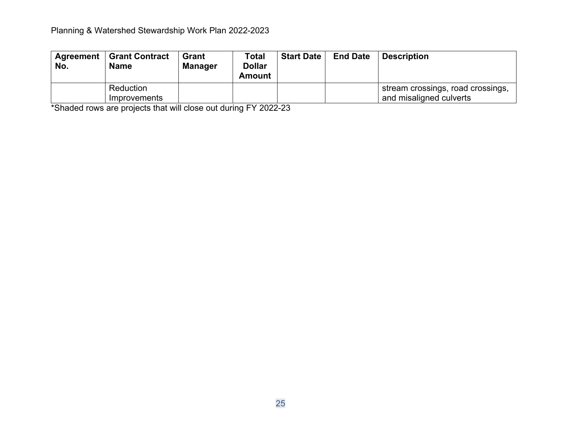| Agreement<br>No. | Grant Contract<br><b>Name</b> | <b>Grant</b><br><b>Manager</b> | Total<br><b>Dollar</b><br><b>Amount</b> | <b>Start Date</b> | <b>End Date</b> | <b>Description</b>                                           |
|------------------|-------------------------------|--------------------------------|-----------------------------------------|-------------------|-----------------|--------------------------------------------------------------|
|                  | Reduction<br>Improvements     |                                |                                         |                   |                 | stream crossings, road crossings,<br>and misaligned culverts |

\*Shaded rows are projects that will close out during FY 2022-23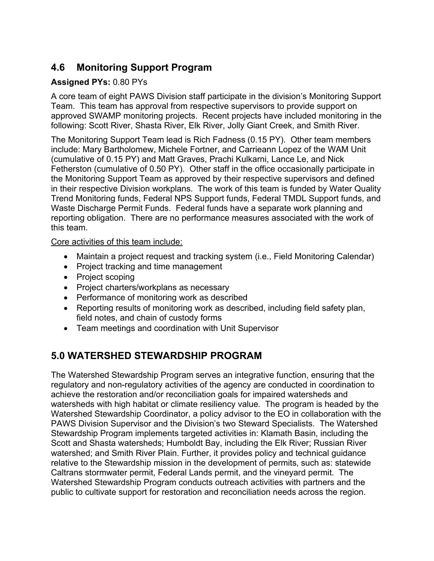## <span id="page-26-0"></span>**4.6 Monitoring Support Program**

#### **Assigned PYs:** 0.80 PYs

A core team of eight PAWS Division staff participate in the division's Monitoring Support Team. This team has approval from respective supervisors to provide support on approved SWAMP monitoring projects. Recent projects have included monitoring in the following: Scott River, Shasta River, Elk River, Jolly Giant Creek, and Smith River.

The Monitoring Support Team lead is Rich Fadness (0.15 PY). Other team members include: Mary Bartholomew, Michele Fortner, and Carrieann Lopez of the WAM Unit (cumulative of 0.15 PY) and Matt Graves, Prachi Kulkarni, Lance Le, and Nick Fetherston (cumulative of 0.50 PY). Other staff in the office occasionally participate in the Monitoring Support Team as approved by their respective supervisors and defined in their respective Division workplans. The work of this team is funded by Water Quality Trend Monitoring funds, Federal NPS Support funds, Federal TMDL Support funds, and Waste Discharge Permit Funds. Federal funds have a separate work planning and reporting obligation. There are no performance measures associated with the work of this team.

Core activities of this team include:

- · Maintain a project request and tracking system (i.e., Field Monitoring Calendar)
- · Project tracking and time management
- Project scoping
- · Project charters/workplans as necessary
- · Performance of monitoring work as described
- · Reporting results of monitoring work as described, including field safety plan, field notes, and chain of custody forms
- · Team meetings and coordination with Unit Supervisor

## <span id="page-26-1"></span>**5.0 WATERSHED STEWARDSHIP PROGRAM**

The Watershed Stewardship Program serves an integrative function, ensuring that the regulatory and non-regulatory activities of the agency are conducted in coordination to achieve the restoration and/or reconciliation goals for impaired watersheds and watersheds with high habitat or climate resiliency value. The program is headed by the Watershed Stewardship Coordinator, a policy advisor to the EO in collaboration with the PAWS Division Supervisor and the Division's two Steward Specialists. The Watershed Stewardship Program implements targeted activities in: Klamath Basin, including the Scott and Shasta watersheds; Humboldt Bay, including the Elk River; Russian River watershed; and Smith River Plain. Further, it provides policy and technical guidance relative to the Stewardship mission in the development of permits, such as: statewide Caltrans stormwater permit, Federal Lands permit, and the vineyard permit. The Watershed Stewardship Program conducts outreach activities with partners and the public to cultivate support for restoration and reconciliation needs across the region.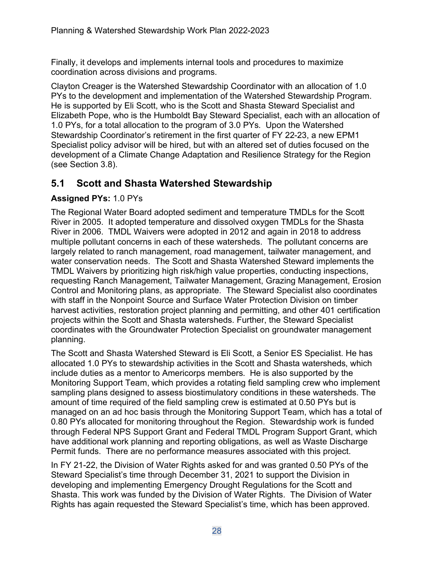Finally, it develops and implements internal tools and procedures to maximize coordination across divisions and programs.

Clayton Creager is the Watershed Stewardship Coordinator with an allocation of 1.0 PYs to the development and implementation of the Watershed Stewardship Program. He is supported by Eli Scott, who is the Scott and Shasta Steward Specialist and Elizabeth Pope, who is the Humboldt Bay Steward Specialist, each with an allocation of 1.0 PYs, for a total allocation to the program of 3.0 PYs. Upon the Watershed Stewardship Coordinator's retirement in the first quarter of FY 22-23, a new EPM1 Specialist policy advisor will be hired, but with an altered set of duties focused on the development of a Climate Change Adaptation and Resilience Strategy for the Region (see Section 3.8).

### <span id="page-27-0"></span>**5.1 Scott and Shasta Watershed Stewardship**

#### **Assigned PYs:** 1.0 PYs

The Regional Water Board adopted sediment and temperature TMDLs for the Scott River in 2005. It adopted temperature and dissolved oxygen TMDLs for the Shasta River in 2006. TMDL Waivers were adopted in 2012 and again in 2018 to address multiple pollutant concerns in each of these watersheds. The pollutant concerns are largely related to ranch management, road management, tailwater management, and water conservation needs. The Scott and Shasta Watershed Steward implements the TMDL Waivers by prioritizing high risk/high value properties, conducting inspections, requesting Ranch Management, Tailwater Management, Grazing Management, Erosion Control and Monitoring plans, as appropriate. The Steward Specialist also coordinates with staff in the Nonpoint Source and Surface Water Protection Division on timber harvest activities, restoration project planning and permitting, and other 401 certification projects within the Scott and Shasta watersheds. Further, the Steward Specialist coordinates with the Groundwater Protection Specialist on groundwater management planning.

The Scott and Shasta Watershed Steward is Eli Scott, a Senior ES Specialist. He has allocated 1.0 PYs to stewardship activities in the Scott and Shasta watersheds, which include duties as a mentor to Americorps members. He is also supported by the Monitoring Support Team, which provides a rotating field sampling crew who implement sampling plans designed to assess biostimulatory conditions in these watersheds. The amount of time required of the field sampling crew is estimated at 0.50 PYs but is managed on an ad hoc basis through the Monitoring Support Team, which has a total of 0.80 PYs allocated for monitoring throughout the Region. Stewardship work is funded through Federal NPS Support Grant and Federal TMDL Program Support Grant, which have additional work planning and reporting obligations, as well as Waste Discharge Permit funds. There are no performance measures associated with this project.

In FY 21-22, the Division of Water Rights asked for and was granted 0.50 PYs of the Steward Specialist's time through December 31, 2021 to support the Division in developing and implementing Emergency Drought Regulations for the Scott and Shasta. This work was funded by the Division of Water Rights. The Division of Water Rights has again requested the Steward Specialist's time, which has been approved.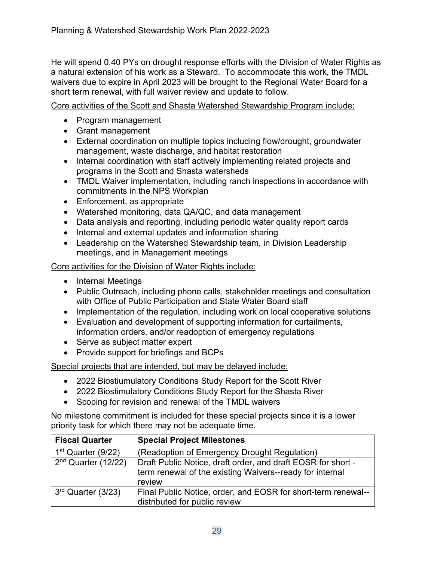He will spend 0.40 PYs on drought response efforts with the Division of Water Rights as a natural extension of his work as a Steward. To accommodate this work, the TMDL waivers due to expire in April 2023 will be brought to the Regional Water Board for a short term renewal, with full waiver review and update to follow.

Core activities of the Scott and Shasta Watershed Stewardship Program include:

- · Program management
- · Grant management
- External coordination on multiple topics including flow/drought, groundwater management, waste discharge, and habitat restoration
- Internal coordination with staff actively implementing related projects and programs in the Scott and Shasta watersheds
- TMDL Waiver implementation, including ranch inspections in accordance with commitments in the NPS Workplan
- · Enforcement, as appropriate
- · Watershed monitoring, data QA/QC, and data management
- · Data analysis and reporting, including periodic water quality report cards
- Internal and external updates and information sharing
- Leadership on the Watershed Stewardship team, in Division Leadership meetings, and in Management meetings

Core activities for the Division of Water Rights include:

- Internal Meetings
- · Public Outreach, including phone calls, stakeholder meetings and consultation with Office of Public Participation and State Water Board staff
- · Implementation of the regulation, including work on local cooperative solutions
- · Evaluation and development of supporting information for curtailments, information orders, and/or readoption of emergency regulations
- Serve as subject matter expert
- · Provide support for briefings and BCPs

Special projects that are intended, but may be delayed include:

- · 2022 Biostiumulatory Conditions Study Report for the Scott River
- · 2022 Biostimulatory Conditions Study Report for the Shasta River
- Scoping for revision and renewal of the TMDL waivers

No milestone commitment is included for these special projects since it is a lower priority task for which there may not be adequate time.

| <b>Fiscal Quarter</b> | <b>Special Project Milestones</b>                                                                                                  |
|-----------------------|------------------------------------------------------------------------------------------------------------------------------------|
| $1st$ Quarter (9/22)  | (Readoption of Emergency Drought Regulation)                                                                                       |
| $2nd$ Quarter (12/22) | Draft Public Notice, draft order, and draft EOSR for short -<br>term renewal of the existing Waivers--ready for internal<br>review |
| 3rd Quarter (3/23)    | Final Public Notice, order, and EOSR for short-term renewal--<br>distributed for public review                                     |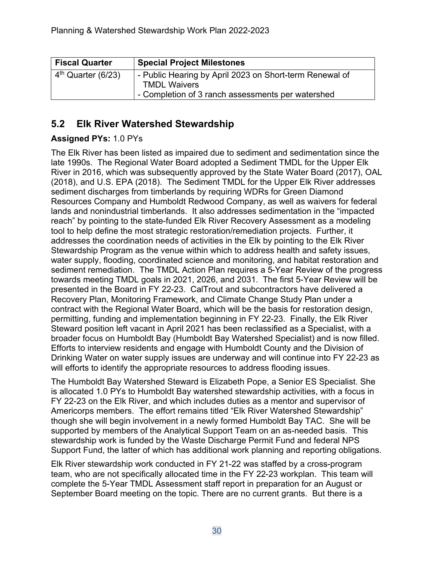| <b>Fiscal Quarter</b> | <b>Special Project Milestones</b>                                                                                                   |
|-----------------------|-------------------------------------------------------------------------------------------------------------------------------------|
| $4th$ Quarter (6/23)  | - Public Hearing by April 2023 on Short-term Renewal of<br><b>TMDL Waivers</b><br>- Completion of 3 ranch assessments per watershed |

### <span id="page-29-0"></span>**5.2 Elk River Watershed Stewardship**

#### **Assigned PYs:** 1.0 PYs

The Elk River has been listed as impaired due to sediment and sedimentation since the late 1990s. The Regional Water Board adopted a Sediment TMDL for the Upper Elk River in 2016, which was subsequently approved by the State Water Board (2017), OAL (2018), and U.S. EPA (2018). The Sediment TMDL for the Upper Elk River addresses sediment discharges from timberlands by requiring WDRs for Green Diamond Resources Company and Humboldt Redwood Company, as well as waivers for federal lands and nonindustrial timberlands. It also addresses sedimentation in the "impacted reach" by pointing to the state-funded Elk River Recovery Assessment as a modeling tool to help define the most strategic restoration/remediation projects. Further, it addresses the coordination needs of activities in the Elk by pointing to the Elk River Stewardship Program as the venue within which to address health and safety issues, water supply, flooding, coordinated science and monitoring, and habitat restoration and sediment remediation. The TMDL Action Plan requires a 5-Year Review of the progress towards meeting TMDL goals in 2021, 2026, and 2031. The first 5-Year Review will be presented in the Board in FY 22-23. CalTrout and subcontractors have delivered a Recovery Plan, Monitoring Framework, and Climate Change Study Plan under a contract with the Regional Water Board, which will be the basis for restoration design, permitting, funding and implementation beginning in FY 22-23. Finally, the Elk River Steward position left vacant in April 2021 has been reclassified as a Specialist, with a broader focus on Humboldt Bay (Humboldt Bay Watershed Specialist) and is now filled. Efforts to interview residents and engage with Humboldt County and the Division of Drinking Water on water supply issues are underway and will continue into FY 22-23 as will efforts to identify the appropriate resources to address flooding issues.

The Humboldt Bay Watershed Steward is Elizabeth Pope, a Senior ES Specialist. She is allocated 1.0 PYs to Humboldt Bay watershed stewardship activities, with a focus in FY 22-23 on the Elk River, and which includes duties as a mentor and supervisor of Americorps members. The effort remains titled "Elk River Watershed Stewardship" though she will begin involvement in a newly formed Humboldt Bay TAC. She will be supported by members of the Analytical Support Team on an as-needed basis. This stewardship work is funded by the Waste Discharge Permit Fund and federal NPS Support Fund, the latter of which has additional work planning and reporting obligations.

Elk River stewardship work conducted in FY 21-22 was staffed by a cross-program team, who are not specifically allocated time in the FY 22-23 workplan. This team will complete the 5-Year TMDL Assessment staff report in preparation for an August or September Board meeting on the topic. There are no current grants. But there is a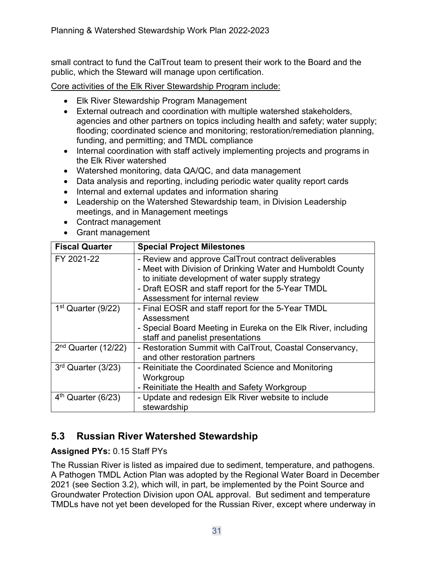small contract to fund the CalTrout team to present their work to the Board and the public, which the Steward will manage upon certification.

Core activities of the Elk River Stewardship Program include:

- Elk River Stewardship Program Management
- · External outreach and coordination with multiple watershed stakeholders, agencies and other partners on topics including health and safety; water supply; flooding; coordinated science and monitoring; restoration/remediation planning, funding, and permitting; and TMDL compliance
- Internal coordination with staff actively implementing projects and programs in the Elk River watershed
- Watershed monitoring, data QA/QC, and data management
- · Data analysis and reporting, including periodic water quality report cards
- · Internal and external updates and information sharing
- Leadership on the Watershed Stewardship team, in Division Leadership meetings, and in Management meetings
- · Contract management
- · Grant management

| <b>Fiscal Quarter</b> | <b>Special Project Milestones</b>                                                                                                                                                                                                                            |
|-----------------------|--------------------------------------------------------------------------------------------------------------------------------------------------------------------------------------------------------------------------------------------------------------|
| FY 2021-22            | - Review and approve CalTrout contract deliverables<br>- Meet with Division of Drinking Water and Humboldt County<br>to initiate development of water supply strategy<br>- Draft EOSR and staff report for the 5-Year TMDL<br>Assessment for internal review |
| $1st$ Quarter (9/22)  | - Final EOSR and staff report for the 5-Year TMDL<br>Assessment<br>- Special Board Meeting in Eureka on the Elk River, including<br>staff and panelist presentations                                                                                         |
| $2nd$ Quarter (12/22) | - Restoration Summit with CalTrout, Coastal Conservancy,<br>and other restoration partners                                                                                                                                                                   |
| $3rd$ Quarter (3/23)  | - Reinitiate the Coordinated Science and Monitoring<br>Workgroup<br>- Reinitiate the Health and Safety Workgroup                                                                                                                                             |
| $4th$ Quarter (6/23)  | - Update and redesign Elk River website to include<br>stewardship                                                                                                                                                                                            |

### <span id="page-30-0"></span>**5.3 Russian River Watershed Stewardship**

#### **Assigned PYs:** 0.15 Staff PYs

The Russian River is listed as impaired due to sediment, temperature, and pathogens. A Pathogen TMDL Action Plan was adopted by the Regional Water Board in December 2021 (see Section 3.2), which will, in part, be implemented by the Point Source and Groundwater Protection Division upon OAL approval. But sediment and temperature TMDLs have not yet been developed for the Russian River, except where underway in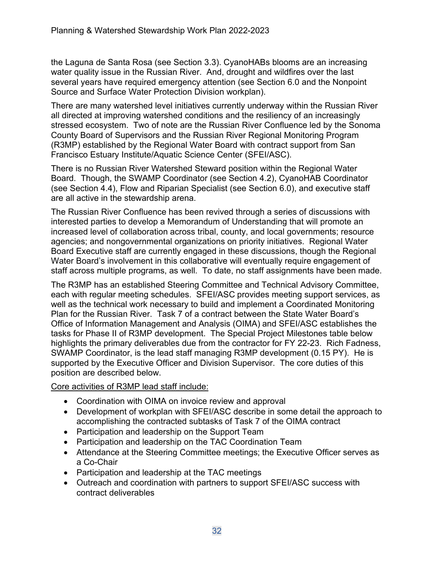the Laguna de Santa Rosa (see Section 3.3). CyanoHABs blooms are an increasing water quality issue in the Russian River. And, drought and wildfires over the last several years have required emergency attention (see Section 6.0 and the Nonpoint Source and Surface Water Protection Division workplan).

There are many watershed level initiatives currently underway within the Russian River all directed at improving watershed conditions and the resiliency of an increasingly stressed ecosystem. Two of note are the Russian River Confluence led by the Sonoma County Board of Supervisors and the Russian River Regional Monitoring Program (R3MP) established by the Regional Water Board with contract support from San Francisco Estuary Institute/Aquatic Science Center (SFEI/ASC).

There is no Russian River Watershed Steward position within the Regional Water Board. Though, the SWAMP Coordinator (see Section 4.2), CyanoHAB Coordinator (see Section 4.4), Flow and Riparian Specialist (see Section 6.0), and executive staff are all active in the stewardship arena.

The Russian River Confluence has been revived through a series of discussions with interested parties to develop a Memorandum of Understanding that will promote an increased level of collaboration across tribal, county, and local governments; resource agencies; and nongovernmental organizations on priority initiatives. Regional Water Board Executive staff are currently engaged in these discussions, though the Regional Water Board's involvement in this collaborative will eventually require engagement of staff across multiple programs, as well. To date, no staff assignments have been made.

The R3MP has an established Steering Committee and Technical Advisory Committee, each with regular meeting schedules. SFEI/ASC provides meeting support services, as well as the technical work necessary to build and implement a Coordinated Monitoring Plan for the Russian River. Task 7 of a contract between the State Water Board's Office of Information Management and Analysis (OIMA) and SFEI/ASC establishes the tasks for Phase II of R3MP development. The Special Project Milestones table below highlights the primary deliverables due from the contractor for FY 22-23. Rich Fadness, SWAMP Coordinator, is the lead staff managing R3MP development (0.15 PY). He is supported by the Executive Officer and Division Supervisor. The core duties of this position are described below.

Core activities of R3MP lead staff include:

- · Coordination with OIMA on invoice review and approval
- · Development of workplan with SFEI/ASC describe in some detail the approach to accomplishing the contracted subtasks of Task 7 of the OIMA contract
- Participation and leadership on the Support Team
- · Participation and leadership on the TAC Coordination Team
- · Attendance at the Steering Committee meetings; the Executive Officer serves as a Co-Chair
- Participation and leadership at the TAC meetings
- · Outreach and coordination with partners to support SFEI/ASC success with contract deliverables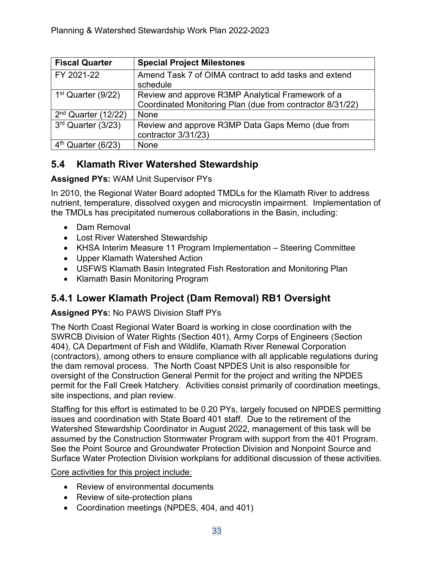| <b>Fiscal Quarter</b> | <b>Special Project Milestones</b>                                 |
|-----------------------|-------------------------------------------------------------------|
| FY 2021-22            | Amend Task 7 of OIMA contract to add tasks and extend<br>schedule |
| $1st$ Quarter (9/22)  | Review and approve R3MP Analytical Framework of a                 |
|                       | Coordinated Monitoring Plan (due from contractor 8/31/22)         |
| $2nd$ Quarter (12/22) | None                                                              |
| 3rd Quarter (3/23)    | Review and approve R3MP Data Gaps Memo (due from                  |
|                       | contractor 3/31/23)                                               |
| $4th$ Quarter (6/23)  | <b>None</b>                                                       |

## <span id="page-32-0"></span>**5.4 Klamath River Watershed Stewardship**

#### **Assigned PYs:** WAM Unit Supervisor PYs

In 2010, the Regional Water Board adopted TMDLs for the Klamath River to address nutrient, temperature, dissolved oxygen and microcystin impairment. Implementation of the TMDLs has precipitated numerous collaborations in the Basin, including:

- · Dam Removal
- Lost River Watershed Stewardship
- · KHSA Interim Measure 11 Program Implementation Steering Committee
- · Upper Klamath Watershed Action
- · USFWS Klamath Basin Integrated Fish Restoration and Monitoring Plan
- · Klamath Basin Monitoring Program

## **5.4.1 Lower Klamath Project (Dam Removal) RB1 Oversight**

#### **Assigned PYs:** No PAWS Division Staff PYs

The North Coast Regional Water Board is working in close coordination with the SWRCB Division of Water Rights (Section 401), Army Corps of Engineers (Section 404), CA Department of Fish and Wildlife, Klamath River Renewal Corporation (contractors), among others to ensure compliance with all applicable regulations during the dam removal process. The North Coast NPDES Unit is also responsible for oversight of the Construction General Permit for the project and writing the NPDES permit for the Fall Creek Hatchery. Activities consist primarily of coordination meetings, site inspections, and plan review.

Staffing for this effort is estimated to be 0.20 PYs, largely focused on NPDES permitting issues and coordination with State Board 401 staff. Due to the retirement of the Watershed Stewardship Coordinator in August 2022, management of this task will be assumed by the Construction Stormwater Program with support from the 401 Program. See the Point Source and Groundwater Protection Division and Nonpoint Source and Surface Water Protection Division workplans for additional discussion of these activities.

Core activities for this project include:

- · Review of environmental documents
- Review of site-protection plans
- · Coordination meetings (NPDES, 404, and 401)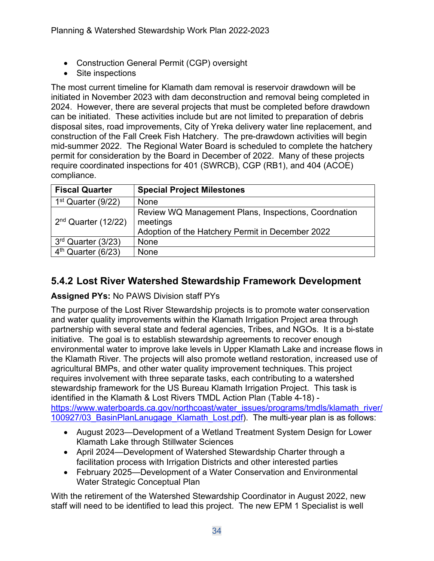- · Construction General Permit (CGP) oversight
- Site inspections

The most current timeline for Klamath dam removal is reservoir drawdown will be initiated in November 2023 with dam deconstruction and removal being completed in 2024. However, there are several projects that must be completed before drawdown can be initiated. These activities include but are not limited to preparation of debris disposal sites, road improvements, City of Yreka delivery water line replacement, and construction of the Fall Creek Fish Hatchery. The pre-drawdown activities will begin mid-summer 2022. The Regional Water Board is scheduled to complete the hatchery permit for consideration by the Board in December of 2022. Many of these projects require coordinated inspections for 401 (SWRCB), CGP (RB1), and 404 (ACOE) compliance.

| <b>Fiscal Quarter</b>          | <b>Special Project Milestones</b>                                                                                    |
|--------------------------------|----------------------------------------------------------------------------------------------------------------------|
| $1st$ Quarter (9/22)           | None                                                                                                                 |
| $2nd$ Quarter (12/22)          | Review WQ Management Plans, Inspections, Coordnation<br>meetings<br>Adoption of the Hatchery Permit in December 2022 |
| 3 <sup>rd</sup> Quarter (3/23) | None                                                                                                                 |
| $4th$ Quarter (6/23)           | None                                                                                                                 |

### **5.4.2 Lost River Watershed Stewardship Framework Development**

**Assigned PYs:** No PAWS Division staff PYs

The purpose of the Lost River Stewardship projects is to promote water conservation and water quality improvements within the Klamath Irrigation Project area through partnership with several state and federal agencies, Tribes, and NGOs. It is a bi-state initiative. The goal is to establish stewardship agreements to recover enough environmental water to improve lake levels in Upper Klamath Lake and increase flows in the Klamath River. The projects will also promote wetland restoration, increased use of agricultural BMPs, and other water quality improvement techniques. This project requires involvement with three separate tasks, each contributing to a watershed stewardship framework for the US Bureau Klamath Irrigation Project. This task is identified in the Klamath & Lost Rivers TMDL Action Plan (Table 4-18) [https://www.waterboards.ca.gov/northcoast/water\\_issues/programs/tmdls/klamath\\_river/](https://www.waterboards.ca.gov/northcoast/water_issues/programs/tmdls/klamath_river/100927/03_BasinPlanLanugage_Klamath_Lost.pdf) [100927/03\\_BasinPlanLanugage\\_Klamath\\_Lost.pdf\)](https://www.waterboards.ca.gov/northcoast/water_issues/programs/tmdls/klamath_river/100927/03_BasinPlanLanugage_Klamath_Lost.pdf). The multi-year plan is as follows:

- · August 2023—Development of a Wetland Treatment System Design for Lower Klamath Lake through Stillwater Sciences
- · April 2024—Development of Watershed Stewardship Charter through a facilitation process with Irrigation Districts and other interested parties
- · February 2025—Development of a Water Conservation and Environmental Water Strategic Conceptual Plan

With the retirement of the Watershed Stewardship Coordinator in August 2022, new staff will need to be identified to lead this project. The new EPM 1 Specialist is well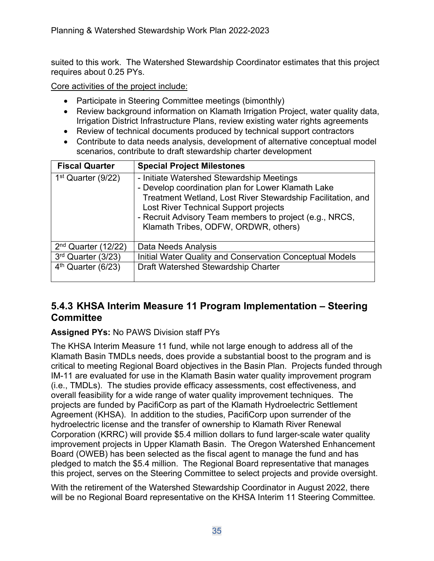suited to this work. The Watershed Stewardship Coordinator estimates that this project requires about 0.25 PYs.

Core activities of the project include:

- Participate in Steering Committee meetings (bimonthly)
- · Review background information on Klamath Irrigation Project, water quality data, Irrigation District Infrastructure Plans, review existing water rights agreements
- Review of technical documents produced by technical support contractors
- · Contribute to data needs analysis, development of alternative conceptual model scenarios, contribute to draft stewardship charter development

| <b>Fiscal Quarter</b>              | <b>Special Project Milestones</b>                                                                                                                                                                                                                                                                          |  |
|------------------------------------|------------------------------------------------------------------------------------------------------------------------------------------------------------------------------------------------------------------------------------------------------------------------------------------------------------|--|
| $1st$ Quarter (9/22)               | - Initiate Watershed Stewardship Meetings<br>- Develop coordination plan for Lower Klamath Lake<br>Treatment Wetland, Lost River Stewardship Facilitation, and<br>Lost River Technical Support projects<br>- Recruit Advisory Team members to project (e.g., NRCS,<br>Klamath Tribes, ODFW, ORDWR, others) |  |
| $2nd$ Quarter (12/22)              | Data Needs Analysis                                                                                                                                                                                                                                                                                        |  |
| $\overline{3^{rd}}$ Quarter (3/23) | Initial Water Quality and Conservation Conceptual Models                                                                                                                                                                                                                                                   |  |
| $4th$ Quarter (6/23)               | Draft Watershed Stewardship Charter                                                                                                                                                                                                                                                                        |  |

### **5.4.3 KHSA Interim Measure 11 Program Implementation – Steering Committee**

### **Assigned PYs:** No PAWS Division staff PYs

The KHSA Interim Measure 11 fund, while not large enough to address all of the Klamath Basin TMDLs needs, does provide a substantial boost to the program and is critical to meeting Regional Board objectives in the Basin Plan. Projects funded through IM-11 are evaluated for use in the Klamath Basin water quality improvement program (i.e., TMDLs). The studies provide efficacy assessments, cost effectiveness, and overall feasibility for a wide range of water quality improvement techniques. The projects are funded by PacifiCorp as part of the Klamath Hydroelectric Settlement Agreement (KHSA). In addition to the studies, PacifiCorp upon surrender of the hydroelectric license and the transfer of ownership to Klamath River Renewal Corporation (KRRC) will provide \$5.4 million dollars to fund larger-scale water quality improvement projects in Upper Klamath Basin. The Oregon Watershed Enhancement Board (OWEB) has been selected as the fiscal agent to manage the fund and has pledged to match the \$5.4 million. The Regional Board representative that manages this project, serves on the Steering Committee to select projects and provide oversight.

With the retirement of the Watershed Stewardship Coordinator in August 2022, there will be no Regional Board representative on the KHSA Interim 11 Steering Committee.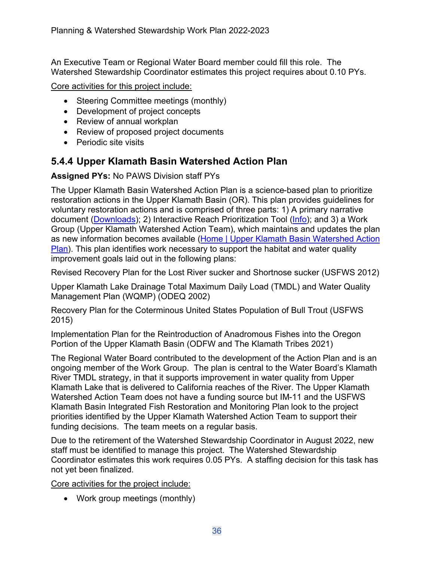An Executive Team or Regional Water Board member could fill this role. The Watershed Stewardship Coordinator estimates this project requires about 0.10 PYs.

Core activities for this project include:

- Steering Committee meetings (monthly)
- · Development of project concepts
- Review of annual workplan
- Review of proposed project documents
- Periodic site visits

### **5.4.4 Upper Klamath Basin Watershed Action Plan**

#### **Assigned PYs:** No PAWS Division staff PYs

The Upper Klamath Basin Watershed Action Plan is a science-based plan to prioritize restoration actions in the Upper Klamath Basin (OR). This plan provides guidelines for voluntary restoration actions and is comprised of three parts: 1) A primary narrative document [\(Downloads](https://www.ukbwap.com/downloads)); 2) Interactive Reach Prioritization Tool ([Info\)](https://www.ukbwap.com/irpt-info); and 3) a Work Group (Upper Klamath Watershed Action Team), which maintains and updates the plan as new information becomes available ([Home | Upper Klamath Basin Watershed Action](https://www.ukbwap.com/)  [Plan\)](https://www.ukbwap.com/). This plan identifies work necessary to support the habitat and water quality improvement goals laid out in the following plans:

Revised Recovery Plan for the Lost River sucker and Shortnose sucker (USFWS 2012)

Upper Klamath Lake Drainage Total Maximum Daily Load (TMDL) and Water Quality Management Plan (WQMP) (ODEQ 2002)

Recovery Plan for the Coterminous United States Population of Bull Trout (USFWS 2015)

Implementation Plan for the Reintroduction of Anadromous Fishes into the Oregon Portion of the Upper Klamath Basin (ODFW and The Klamath Tribes 2021)

The Regional Water Board contributed to the development of the Action Plan and is an ongoing member of the Work Group. The plan is central to the Water Board's Klamath River TMDL strategy, in that it supports improvement in water quality from Upper Klamath Lake that is delivered to California reaches of the River. The Upper Klamath Watershed Action Team does not have a funding source but IM-11 and the USFWS Klamath Basin Integrated Fish Restoration and Monitoring Plan look to the project priorities identified by the Upper Klamath Watershed Action Team to support their funding decisions. The team meets on a regular basis.

Due to the retirement of the Watershed Stewardship Coordinator in August 2022, new staff must be identified to manage this project. The Watershed Stewardship Coordinator estimates this work requires 0.05 PYs. A staffing decision for this task has not yet been finalized.

Core activities for the project include:

· Work group meetings (monthly)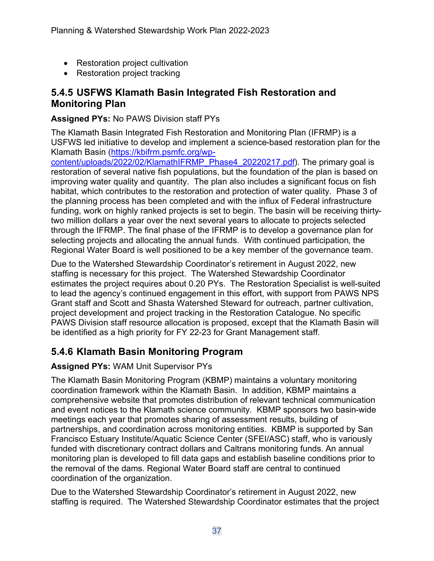- · Restoration project cultivation
- Restoration project tracking

## **5.4.5 USFWS Klamath Basin Integrated Fish Restoration and Monitoring Plan**

### **Assigned PYs:** No PAWS Division staff PYs

The Klamath Basin Integrated Fish Restoration and Monitoring Plan (IFRMP) is a USFWS led initiative to develop and implement a science-based restoration plan for the Klamath Basin ([https://kbifrm.psmfc.org/wp-](https://kbifrm.psmfc.org/wp-content/uploads/2022/02/KlamathIFRMP_Phase4_20220217.pdf)

[content/uploads/2022/02/KlamathIFRMP\\_Phase4\\_20220217.pdf\)](https://kbifrm.psmfc.org/wp-content/uploads/2022/02/KlamathIFRMP_Phase4_20220217.pdf). The primary goal is restoration of several native fish populations, but the foundation of the plan is based on improving water quality and quantity. The plan also includes a significant focus on fish habitat, which contributes to the restoration and protection of water quality. Phase 3 of the planning process has been completed and with the influx of Federal infrastructure funding, work on highly ranked projects is set to begin. The basin will be receiving thirtytwo million dollars a year over the next several years to allocate to projects selected through the IFRMP. The final phase of the IFRMP is to develop a governance plan for selecting projects and allocating the annual funds. With continued participation, the Regional Water Board is well positioned to be a key member of the governance team.

Due to the Watershed Stewardship Coordinator's retirement in August 2022, new staffing is necessary for this project. The Watershed Stewardship Coordinator estimates the project requires about 0.20 PYs. The Restoration Specialist is well-suited to lead the agency's continued engagement in this effort, with support from PAWS NPS Grant staff and Scott and Shasta Watershed Steward for outreach, partner cultivation, project development and project tracking in the Restoration Catalogue. No specific PAWS Division staff resource allocation is proposed, except that the Klamath Basin will be identified as a high priority for FY 22-23 for Grant Management staff.

## **5.4.6 Klamath Basin Monitoring Program**

### **Assigned PYs:** WAM Unit Supervisor PYs

The Klamath Basin Monitoring Program (KBMP) maintains a voluntary monitoring coordination framework within the Klamath Basin. In addition, KBMP maintains a comprehensive website that promotes distribution of relevant technical communication and event notices to the Klamath science community. KBMP sponsors two basin-wide meetings each year that promotes sharing of assessment results, building of partnerships, and coordination across monitoring entities. KBMP is supported by San Francisco Estuary Institute/Aquatic Science Center (SFEI/ASC) staff, who is variously funded with discretionary contract dollars and Caltrans monitoring funds. An annual monitoring plan is developed to fill data gaps and establish baseline conditions prior to the removal of the dams. Regional Water Board staff are central to continued coordination of the organization.

Due to the Watershed Stewardship Coordinator's retirement in August 2022, new staffing is required. The Watershed Stewardship Coordinator estimates that the project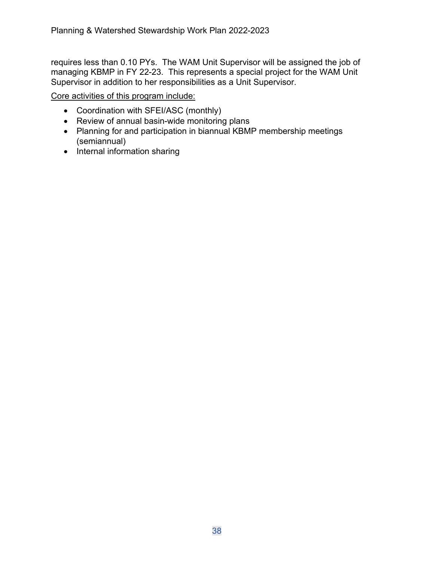requires less than 0.10 PYs. The WAM Unit Supervisor will be assigned the job of managing KBMP in FY 22-23. This represents a special project for the WAM Unit Supervisor in addition to her responsibilities as a Unit Supervisor.

Core activities of this program include:

- · Coordination with SFEI/ASC (monthly)
- Review of annual basin-wide monitoring plans
- · Planning for and participation in biannual KBMP membership meetings (semiannual)
- · Internal information sharing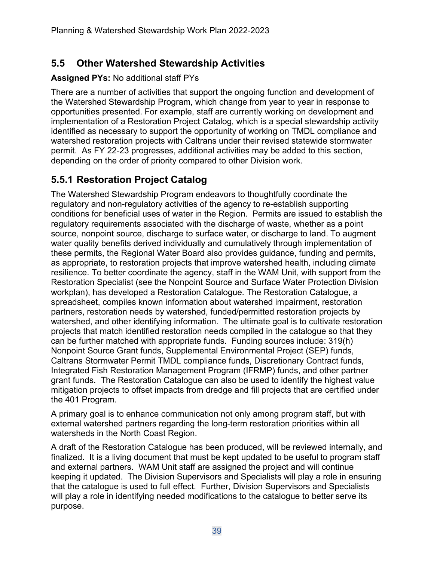## <span id="page-38-0"></span>**5.5 Other Watershed Stewardship Activities**

#### **Assigned PYs:** No additional staff PYs

There are a number of activities that support the ongoing function and development of the Watershed Stewardship Program, which change from year to year in response to opportunities presented. For example, staff are currently working on development and implementation of a Restoration Project Catalog, which is a special stewardship activity identified as necessary to support the opportunity of working on TMDL compliance and watershed restoration projects with Caltrans under their revised statewide stormwater permit. As FY 22-23 progresses, additional activities may be added to this section, depending on the order of priority compared to other Division work.

## **5.5.1 Restoration Project Catalog**

The Watershed Stewardship Program endeavors to thoughtfully coordinate the regulatory and non-regulatory activities of the agency to re-establish supporting conditions for beneficial uses of water in the Region. Permits are issued to establish the regulatory requirements associated with the discharge of waste, whether as a point source, nonpoint source, discharge to surface water, or discharge to land. To augment water quality benefits derived individually and cumulatively through implementation of these permits, the Regional Water Board also provides guidance, funding and permits, as appropriate, to restoration projects that improve watershed health, including climate resilience. To better coordinate the agency, staff in the WAM Unit, with support from the Restoration Specialist (see the Nonpoint Source and Surface Water Protection Division workplan), has developed a Restoration Catalogue. The Restoration Catalogue, a spreadsheet, compiles known information about watershed impairment, restoration partners, restoration needs by watershed, funded/permitted restoration projects by watershed, and other identifying information. The ultimate goal is to cultivate restoration projects that match identified restoration needs compiled in the catalogue so that they can be further matched with appropriate funds. Funding sources include: 319(h) Nonpoint Source Grant funds, Supplemental Environmental Project (SEP) funds, Caltrans Stormwater Permit TMDL compliance funds, Discretionary Contract funds, Integrated Fish Restoration Management Program (IFRMP) funds, and other partner grant funds. The Restoration Catalogue can also be used to identify the highest value mitigation projects to offset impacts from dredge and fill projects that are certified under the 401 Program.

A primary goal is to enhance communication not only among program staff, but with external watershed partners regarding the long-term restoration priorities within all watersheds in the North Coast Region.

A draft of the Restoration Catalogue has been produced, will be reviewed internally, and finalized. It is a living document that must be kept updated to be useful to program staff and external partners. WAM Unit staff are assigned the project and will continue keeping it updated. The Division Supervisors and Specialists will play a role in ensuring that the catalogue is used to full effect. Further, Division Supervisors and Specialists will play a role in identifying needed modifications to the catalogue to better serve its purpose.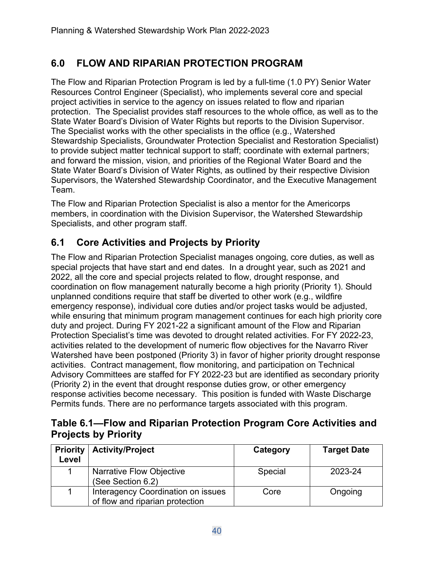## <span id="page-39-0"></span>**6.0 FLOW AND RIPARIAN PROTECTION PROGRAM**

The Flow and Riparian Protection Program is led by a full-time (1.0 PY) Senior Water Resources Control Engineer (Specialist), who implements several core and special project activities in service to the agency on issues related to flow and riparian protection. The Specialist provides staff resources to the whole office, as well as to the State Water Board's Division of Water Rights but reports to the Division Supervisor. The Specialist works with the other specialists in the office (e.g., Watershed Stewardship Specialists, Groundwater Protection Specialist and Restoration Specialist) to provide subject matter technical support to staff; coordinate with external partners; and forward the mission, vision, and priorities of the Regional Water Board and the State Water Board's Division of Water Rights, as outlined by their respective Division Supervisors, the Watershed Stewardship Coordinator, and the Executive Management Team.

The Flow and Riparian Protection Specialist is also a mentor for the Americorps members, in coordination with the Division Supervisor, the Watershed Stewardship Specialists, and other program staff.

## <span id="page-39-1"></span>**6.1 Core Activities and Projects by Priority**

The Flow and Riparian Protection Specialist manages ongoing, core duties, as well as special projects that have start and end dates. In a drought year, such as 2021 and 2022, all the core and special projects related to flow, drought response, and coordination on flow management naturally become a high priority (Priority 1). Should unplanned conditions require that staff be diverted to other work (e.g., wildfire emergency response), individual core duties and/or project tasks would be adjusted, while ensuring that minimum program management continues for each high priority core duty and project. During FY 2021-22 a significant amount of the Flow and Riparian Protection Specialist's time was devoted to drought related activities. For FY 2022-23, activities related to the development of numeric flow objectives for the Navarro River Watershed have been postponed (Priority 3) in favor of higher priority drought response activities. Contract management, flow monitoring, and participation on Technical Advisory Committees are staffed for FY 2022-23 but are identified as secondary priority (Priority 2) in the event that drought response duties grow, or other emergency response activities become necessary. This position is funded with Waste Discharge Permits funds. There are no performance targets associated with this program.

### **Table 6.1—Flow and Riparian Protection Program Core Activities and Projects by Priority**

| <b>Priority</b><br>Level | <b>Activity/Project</b>                                               | Category | <b>Target Date</b> |
|--------------------------|-----------------------------------------------------------------------|----------|--------------------|
|                          | <b>Narrative Flow Objective</b><br>(See Section 6.2)                  | Special  | 2023-24            |
|                          | Interagency Coordination on issues<br>of flow and riparian protection | Core     | Ongoing            |